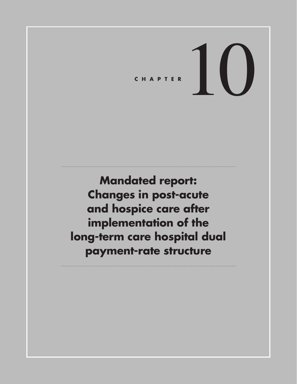# CHAPTER  $\left| \begin{array}{c} \end{array} \right|$

**Mandated report: Changes in post-acute and hospice care after implementation of the long-term care hospital dual payment-rate structure**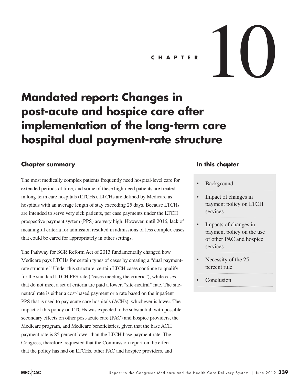# CHAPTER  $10$

# **Mandated report: Changes in post-acute and hospice care after implementation of the long-term care hospital dual payment-rate structure**

#### **Chapter summary**

The most medically complex patients frequently need hospital-level care for extended periods of time, and some of these high-need patients are treated in long-term care hospitals (LTCHs). LTCHs are defined by Medicare as hospitals with an average length of stay exceeding 25 days. Because LTCHs are intended to serve very sick patients, per case payments under the LTCH prospective payment system (PPS) are very high. However, until 2016, lack of meaningful criteria for admission resulted in admissions of less complex cases that could be cared for appropriately in other settings.

The Pathway for SGR Reform Act of 2013 fundamentally changed how Medicare pays LTCHs for certain types of cases by creating a "dual paymentrate structure." Under this structure, certain LTCH cases continue to qualify for the standard LTCH PPS rate ("cases meeting the criteria"), while cases that do not meet a set of criteria are paid a lower, "site-neutral" rate. The siteneutral rate is either a cost-based payment or a rate based on the inpatient PPS that is used to pay acute care hospitals (ACHs), whichever is lower. The impact of this policy on LTCHs was expected to be substantial, with possible secondary effects on other post-acute care (PAC) and hospice providers, the Medicare program, and Medicare beneficiaries, given that the base ACH payment rate is 85 percent lower than the LTCH base payment rate. The Congress, therefore, requested that the Commission report on the effect that the policy has had on LTCHs, other PAC and hospice providers, and

#### **In this chapter**

#### **Background**

- Impact of changes in payment policy on LTCH services
- Impacts of changes in payment policy on the use of other PAC and hospice services
- Necessity of the 25 percent rule

**Conclusion**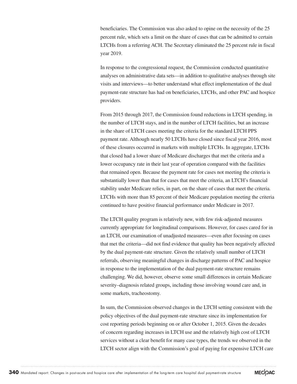beneficiaries. The Commission was also asked to opine on the necessity of the 25 percent rule, which sets a limit on the share of cases that can be admitted to certain LTCHs from a referring ACH. The Secretary eliminated the 25 percent rule in fiscal year 2019.

In response to the congressional request, the Commission conducted quantitative analyses on administrative data sets—in addition to qualitative analyses through site visits and interviews—to better understand what effect implementation of the dual payment-rate structure has had on beneficiaries, LTCHs, and other PAC and hospice providers.

From 2015 through 2017, the Commission found reductions in LTCH spending, in the number of LTCH stays, and in the number of LTCH facilities, but an increase in the share of LTCH cases meeting the criteria for the standard LTCH PPS payment rate. Although nearly 50 LTCHs have closed since fiscal year 2016, most of these closures occurred in markets with multiple LTCHs. In aggregate, LTCHs that closed had a lower share of Medicare discharges that met the criteria and a lower occupancy rate in their last year of operation compared with the facilities that remained open. Because the payment rate for cases not meeting the criteria is substantially lower than that for cases that meet the criteria, an LTCH's financial stability under Medicare relies, in part, on the share of cases that meet the criteria. LTCHs with more than 85 percent of their Medicare population meeting the criteria continued to have positive financial performance under Medicare in 2017.

The LTCH quality program is relatively new, with few risk-adjusted measures currently appropriate for longitudinal comparisons. However, for cases cared for in an LTCH, our examination of unadjusted measures—even after focusing on cases that met the criteria—did not find evidence that quality has been negatively affected by the dual payment-rate structure. Given the relatively small number of LTCH referrals, observing meaningful changes in discharge patterns of PAC and hospice in response to the implementation of the dual payment-rate structure remains challenging. We did, however, observe some small differences in certain Medicare severity–diagnosis related groups, including those involving wound care and, in some markets, tracheostomy.

In sum, the Commission observed changes in the LTCH setting consistent with the policy objectives of the dual payment-rate structure since its implementation for cost reporting periods beginning on or after October 1, 2015. Given the decades of concern regarding increases in LTCH use and the relatively high cost of LTCH services without a clear benefit for many case types, the trends we observed in the LTCH sector align with the Commission's goal of paying for expensive LTCH care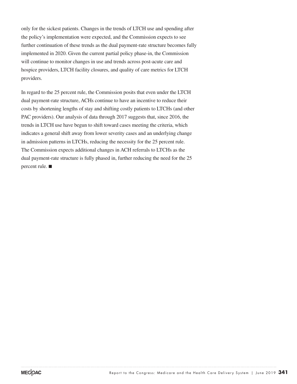only for the sickest patients. Changes in the trends of LTCH use and spending after the policy's implementation were expected, and the Commission expects to see further continuation of these trends as the dual payment-rate structure becomes fully implemented in 2020. Given the current partial policy phase-in, the Commission will continue to monitor changes in use and trends across post-acute care and hospice providers, LTCH facility closures, and quality of care metrics for LTCH providers.

In regard to the 25 percent rule, the Commission posits that even under the LTCH dual payment-rate structure, ACHs continue to have an incentive to reduce their costs by shortening lengths of stay and shifting costly patients to LTCHs (and other PAC providers). Our analysis of data through 2017 suggests that, since 2016, the trends in LTCH use have begun to shift toward cases meeting the criteria, which indicates a general shift away from lower severity cases and an underlying change in admission patterns in LTCHs, reducing the necessity for the 25 percent rule. The Commission expects additional changes in ACH referrals to LTCHs as the dual payment-rate structure is fully phased in, further reducing the need for the 25 percent rule. ■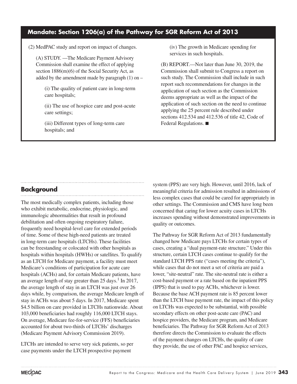#### **Mandate: Section 1206(a) of the Pathway for SGR Reform Act of 2013**

(2) MedPAC study and report on impact of changes.

(A) STUDY. —The Medicare Payment Advisory Commission shall examine the effect of applying section 1886(m)(6) of the Social Security Act, as added by the amendment made by paragraph  $(1)$  on –

(i) The quality of patient care in long-term care hospitals;

(ii) The use of hospice care and post-acute care settings;

(iii) Different types of long-term care hospitals; and

(iv) The growth in Medicare spending for services in such hospitals.

(B) REPORT.—Not later than June 30, 2019, the Commission shall submit to Congress a report on such study. The Commission shall include in such report such recommendations for changes in the application of such section as the Commission deems appropriate as well as the impact of the application of such section on the need to continue applying the 25 percent rule described under sections 412.534 and 412.536 of title 42, Code of Federal Regulations. ■

#### **Background**

The most medically complex patients, including those who exhibit metabolic, endocrine, physiologic, and immunologic abnormalities that result in profound debilitation and often ongoing respiratory failure, frequently need hospital-level care for extended periods of time. Some of these high-need patients are treated in long-term care hospitals (LTCHs). These facilities can be freestanding or colocated with other hospitals as hospitals within hospitals (HWHs) or satellites. To qualify as an LTCH for Medicare payment, a facility must meet Medicare's conditions of participation for acute care hospitals (ACHs) and, for certain Medicare patients, have an average length of stay greater than  $25 \text{ days}$ .<sup>1</sup> In 2017, the average length of stay in an LTCH was just over 26 days while, by comparison, the average Medicare length of stay in ACHs was about 5 days. In 2017, Medicare spent \$4.5 billion on care provided in LTCHs nationwide. About 103,000 beneficiaries had roughly 116,000 LTCH stays. On average, Medicare fee-for-service (FFS) beneficiaries accounted for about two-thirds of LTCHs' discharges (Medicare Payment Advisory Commission 2019).

LTCHs are intended to serve very sick patients, so per case payments under the LTCH prospective payment

system (PPS) are very high. However, until 2016, lack of meaningful criteria for admission resulted in admissions of less complex cases that could be cared for appropriately in other settings. The Commission and CMS have long been concerned that caring for lower acuity cases in LTCHs increases spending without demonstrated improvements in quality or outcomes.

The Pathway for SGR Reform Act of 2013 fundamentally changed how Medicare pays LTCHs for certain types of cases, creating a "dual payment-rate structure." Under this structure, certain LTCH cases continue to qualify for the standard LTCH PPS rate ("cases meeting the criteria"), while cases that do not meet a set of criteria are paid a lower, "site-neutral" rate. The site-neutral rate is either a cost-based payment or a rate based on the inpatient PPS (IPPS) that is used to pay ACHs, whichever is lower. Because the base ACH payment rate is 85 percent lower than the LTCH base payment rate, the impact of this policy on LTCHs was expected to be substantial, with possible secondary effects on other post-acute care (PAC) and hospice providers, the Medicare program, and Medicare beneficiaries. The Pathway for SGR Reform Act of 2013 therefore directs the Commission to evaluate the effects of the payment changes on LTCHs, the quality of care they provide, the use of other PAC and hospice services,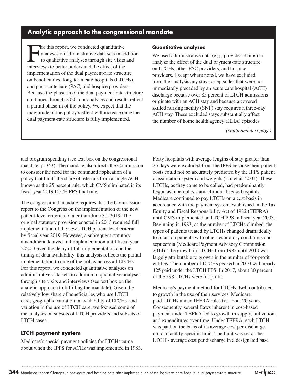#### **Analytic approach to the congressional mandate**

For this report, we conducted quantitative<br>analyses on administrative data sets in ad<br>to qualitative analyses through site visits<br>interviews to better understand the effect of the analyses on administrative data sets in addition to qualitative analyses through site visits and interviews to better understand the effect of the implementation of the dual payment-rate structure on beneficiaries, long-term care hospitals (LTCHs), and post-acute care (PAC) and hospice providers. Because the phase-in of the dual payment-rate structure continues through 2020, our analyses and results reflect a partial phase-in of the policy. We expect that the magnitude of the policy's effect will increase once the dual payment-rate structure is fully implemented.

#### **Quantitative analyses**

We used administrative data (e.g., provider claims) to analyze the effect of the dual payment-rate structure on LTCHs, other PAC providers, and hospice providers. Except where noted, we have excluded from this analysis any stays or episodes that were not immediately preceded by an acute care hospital (ACH) discharge because over 85 percent of LTCH admissions originate with an ACH stay and because a covered skilled nursing facility (SNF) stay requires a three-day ACH stay. These excluded stays substantially affect the number of home health agency (HHA) episodes

*(continued next page)*

and program spending (see text box on the congressional mandate, p. 343). The mandate also directs the Commission to consider the need for the continued application of a policy that limits the share of referrals from a single ACH, known as the 25 percent rule, which CMS eliminated in its fiscal year 2019 LTCH PPS final rule.

The congressional mandate requires that the Commission report to the Congress on the implementation of the new patient-level criteria no later than June 30, 2019. The original statutory provision enacted in 2013 required full implementation of the new LTCH patient-level criteria by fiscal year 2019. However, a subsequent statutory amendment delayed full implementation until fiscal year 2020. Given the delay of full implementation and the timing of data availability, this analysis reflects the partial implementation to date of the policy across all LTCHs. For this report, we conducted quantitative analyses on administrative data sets in addition to qualitative analyses through site visits and interviews (see text box on the analytic approach to fulfilling the mandate). Given the relatively low share of beneficiaries who use LTCH care, geographic variation in availability of LTCHs, and variation in the use of LTCH care, we focused some of the analyses on subsets of LTCH providers and subsets of LTCH cases.

#### **LTCH payment system**

Medicare's special payment policies for LTCHs came about when the IPPS for ACHs was implemented in 1983. Forty hospitals with average lengths of stay greater than 25 days were excluded from the IPPS because their patient costs could not be accurately predicted by the IPPS patient classification system and weights (Liu et al. 2001). These LTCHs, as they came to be called, had predominantly begun as tuberculosis and chronic disease hospitals. Medicare continued to pay LTCHs on a cost basis in accordance with the payment system established in the Tax Equity and Fiscal Responsibility Act of 1982 (TEFRA) until CMS implemented an LTCH PPS in fiscal year 2003. Beginning in 1983, as the number of LTCHs climbed, the types of patients treated by LTCHs changed dramatically to focus on patients with other respiratory conditions and septicemia (Medicare Payment Advisory Commission 2014). The growth in LTCHs from 1983 until 2010 was largely attributable to growth in the number of for-profit entities. The number of LTCHs peaked in 2010 with nearly 425 paid under the LTCH PPS. In 2017, about 80 percent of the 398 LTCHs were for profit.

Medicare's payment method for LTCHs itself contributed to growth in the use of their services. Medicare paid LTCHs under TEFRA rules for about 20 years. Consequently, several flaws inherent in cost-based payment under TEFRA led to growth in supply, utilization, and expenditures over time. Under TEFRA, each LTCH was paid on the basis of its average cost per discharge, up to a facility-specific limit. The limit was set at the LTCH's average cost per discharge in a designated base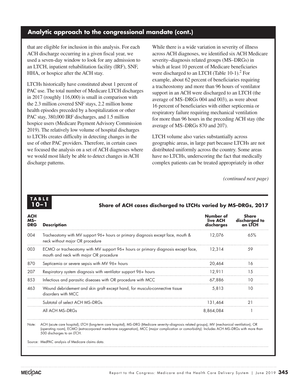#### **Analytic approach to the congressional mandate (cont.)**

that are eligible for inclusion in this analysis. For each ACH discharge occurring in a given fiscal year, we used a seven-day window to look for any admission to an LTCH, inpatient rehabilitation facility (IRF), SNF, HHA, or hospice after the ACH stay.

LTCHs historically have constituted about 1 percent of PAC use. The total number of Medicare LTCH discharges in 2017 (roughly 116,000) is small in comparison with the 2.3 million covered SNF stays, 2.2 million home health episodes preceded by a hospitalization or other PAC stay, 380,000 IRF discharges, and 1.5 million hospice users (Medicare Payment Advisory Commission 2019). The relatively low volume of hospital discharges to LTCHs creates difficulty in detecting changes in the use of other PAC providers. Therefore, in certain cases we focused the analysis on a set of ACH diagnoses where we would most likely be able to detect changes in ACH discharge patterns.

While there is a wide variation in severity of illness across ACH diagnoses, we identified six ACH Medicare severity–diagnosis related groups (MS–DRGs) in which at least 10 percent of Medicare beneficiaries were discharged to an LTCH (Table 10-1).<sup>2</sup> For example, about 62 percent of beneficiaries requiring a tracheostomy and more than 96 hours of ventilator support in an ACH were discharged to an LTCH (the average of MS–DRGs 004 and 003), as were about 16 percent of beneficiaries with either septicemia or respiratory failure requiring mechanical ventilation for more than 96 hours in the preceding ACH stay (the average of MS–DRGs 870 and 207).

LTCH volume also varies substantially across geographic areas, in large part because LTCHs are not distributed uniformly across the country. Some areas have no LTCHs, underscoring the fact that medically complex patients can be treated appropriately in other

*(continued next page)*

## **TABLE**

#### **10–1 Share of ACH cases discharged to LTCHs varied by MS–DRGs, 2017**

| <b>ACH</b><br>$MS-$<br><b>DRG</b> | <b>Description</b>                                                                                                         | Number of<br>live ACH<br>discharges | Share<br>discharged to<br>an LTCH |
|-----------------------------------|----------------------------------------------------------------------------------------------------------------------------|-------------------------------------|-----------------------------------|
| 004                               | Tracheostomy with MV support 96+ hours or primary diagnosis except face, mouth &<br>neck without major OR procedure        | 12.076                              | 6.5%                              |
| 003                               | ECMO or tracheostomy with MV support 96+ hours or primary diagnosis except face,<br>mouth and neck with major OR procedure | 12.314                              | 59                                |
| 870                               | Septicemia or severe sepsis with MV 96+ hours                                                                              | 20,464                              | 16                                |
| 207                               | Respiratory system diagnosis with ventilator support 96+ hours                                                             | 12.911                              | 1.5                               |
| 853                               | Infectious and parasitic diseases with OR procedure with MCC                                                               | 67.886                              | 10                                |
| 463                               | Wound debridement and skin graft except hand, for musculo-connective tissue<br>disorders with MCC                          | 5,813                               | 10                                |
|                                   | Subtotal of select ACH MS-DRGs                                                                                             | 131,464                             | 21                                |
|                                   | All ACH MS-DRGs                                                                                                            | 8,864,084                           |                                   |

Note: ACH (acute care hospital), LTCH (long-term care hospital), MS–DRG (Medicare severity–diagnosis related groups), MV (mechanical ventilation), OR (operating room), ECMO (extracorporeal membrane oxygenation), MCC (major complication or comorbidity). Includes ACH MS–DRGs with more than 500 discharges to an LTCH.

Source: MedPAC analysis of Medicare claims data.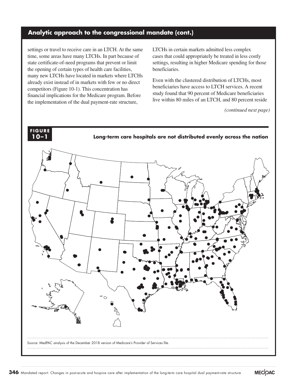#### **Analytic approach to the congressional mandate (cont.)**

settings or travel to receive care in an LTCH. At the same time, some areas have many LTCHs. In part because of state certificate-of-need programs that prevent or limit the opening of certain types of health care facilities, many new LTCHs have located in markets where LTCHs already exist instead of in markets with few or no direct competitors (Figure 10-1). This concentration has financial implications for the Medicare program. Before the implementation of the dual payment-rate structure,

LTCHs in certain markets admitted less complex cases that could appropriately be treated in less costly settings, resulting in higher Medicare spending for those beneficiaries.

Even with the clustered distribution of LTCHs, most beneficiaries have access to LTCH services. A recent study found that 90 percent of Medicare beneficiaries live within 80 miles of an LTCH, and 80 percent reside

*(continued next page)*

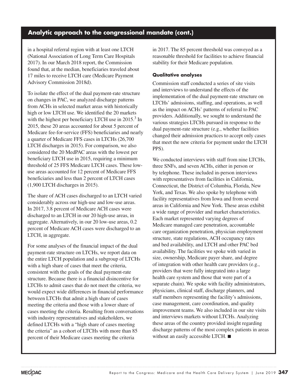#### **Analytic approach to the congressional mandate (cont.)**

in a hospital referral region with at least one LTCH (National Association of Long Term Care Hospitals 2017). In our March 2018 report, the Commission found that, at the median, beneficiaries traveled about 17 miles to receive LTCH care (Medicare Payment Advisory Commission 2018d).

To isolate the effect of the dual payment-rate structure on changes in PAC, we analyzed discharge patterns from ACHs in selected market areas with historically high or low LTCH use. We identified the 20 markets with the highest per beneficiary LTCH use in  $2015<sup>3</sup>$  In 2015, these 20 areas accounted for about 5 percent of Medicare fee-for-service (FFS) beneficiaries and nearly a quarter of Medicare FFS cases in LTCHs (26,700 LTCH discharges in 2015). For comparison, we also considered the 20 MedPAC areas with the lowest per beneficiary LTCH use in 2015, requiring a minimum threshold of 25 FFS Medicare LTCH cases. These lowuse areas accounted for 12 percent of Medicare FFS beneficiaries and less than 2 percent of LTCH cases (1,900 LTCH discharges in 2015).

The share of ACH cases discharged to an LTCH varied considerably across our high-use and low-use areas. In 2017, 3.8 percent of Medicare ACH cases were discharged to an LTCH in our 20 high-use areas, in aggregate. Alternatively, in our 20 low-use areas, 0.2 percent of Medicare ACH cases were discharged to an LTCH, in aggregate.

For some analyses of the financial impact of the dual payment-rate structure on LTCHs, we report data on the entire LTCH population and a subgroup of LTCHs with a high share of cases that meet the criteria, consistent with the goals of the dual payment-rate structure. Because there is a financial disincentive for LTCHs to admit cases that do not meet the criteria, we would expect wide differences in financial performance between LTCHs that admit a high share of cases meeting the criteria and those with a lower share of cases meeting the criteria. Resulting from conversations with industry representatives and stakeholders, we defined LTCHs with a "high share of cases meeting the criteria" as a cohort of LTCHs with more than 85 percent of their Medicare cases meeting the criteria

in 2017. The 85 percent threshold was conveyed as a reasonable threshold for facilities to achieve financial stability for their Medicare population.

#### **Qualitative analyses**

Commission staff conducted a series of site visits and interviews to understand the effects of the implementation of the dual payment-rate structure on LTCHs' admissions, staffing, and operations, as well as the impact on ACHs' patterns of referral to PAC providers. Additionally, we sought to understand the various strategies LTCHs pursued in response to the dual payment-rate structure (e.g., whether facilities changed their admission practices to accept only cases that meet the new criteria for payment under the LTCH PPS).

We conducted interviews with staff from nine LTCHs, three SNFs, and seven ACHs, either in person or by telephone. These included in-person interviews with representatives from facilities in California, Connecticut, the District of Columbia, Florida, New York, and Texas. We also spoke by telephone with facility representatives from Iowa and from several areas in California and New York. These areas exhibit a wide range of provider and market characteristics. Each market represented varying degrees of Medicare managed care penetration, accountable care organization penetration, physician employment structure, state regulations, ACH occupancy rates and bed availability, and LTCH and other PAC bed availability. The facilities we spoke with varied in size, ownership, Medicare payer share, and degree of integration with other health care providers (e.g., providers that were fully integrated into a large health care system and those that were part of a separate chain). We spoke with facility administrators, physicians, clinical staff, discharge planners, and staff members representing the facility's admissions, case management, care coordination, and quality improvement teams. We also included in our site visits and interviews markets without LTCHs. Analyzing these areas of the country provided insight regarding discharge patterns of the most complex patients in areas without an easily accessible LTCH. ■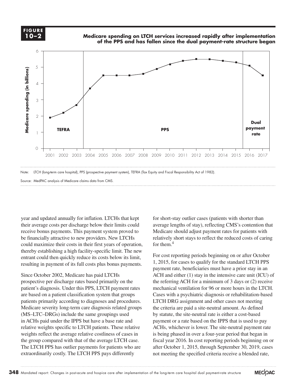**FIGURE FIGURE 10–2** 

**Medicare spending on LTCH services increased rapidly after implementation of the PPS and has fallen since the dual payment-rate structure began**



Note: LTCH (long-term care hospital), PPS (prospective payment system), TEFRA (Tax Equity and Fiscal Responsibility Act of 1982).

Source: MedPAC analysis of Medicare claims data from CMS.

year and updated annually for inflation. LTCHs that kept their average costs per discharge below their limits could receive bonus payments. This payment system proved to be financially attractive to new providers. New LTCHs could maximize their costs in their first years of operation, thereby establishing a high facility-specific limit. The new  $\frac{1}{2}$  entrant could then quickly reduce its costs below its limit, For cost represent resulting in payment of its full costs plus bonus payments.  $\frac{1,2013}{2}$ 

Since October 2002, Medicare has paid LTCHs prospective per discharge rates based primarily on the the referring patient's diagnosis. Under this PPS, LTCH payment rates patient's diagnosis. Onder this 115, ETCH payment rates incendine to relation of the legislation system that groups Cases with a psychiat patients primarily according to diagnoses and procedures. Medicare severity long-term care diagnosis related groups  $(MS-LTC-DRGs)$  include the same groupings used by s in ACHs paid under the IPPS but have a base rate and relative weights specific to LTCH patients. These relative weights reflect the average relative costliness of cases in the group compared with that of the average LTCH case. The LTCH PPS has outlier payments for patients who are extraordinarily costly. The LTCH PPS pays differently

for short-stay outlier cases (patients with shorter than average lengths of stay), reflecting CMS's contention that Medicare should adjust payment rates for patients with relatively short stays to reflect the reduced costs of caring for them.4

For cost reporting periods beginning on or after October 1, 2015, for cases to qualify for the standard LTCH PPS payment rate, beneficiaries must have a prior stay in an October 2002, Medicare has paid LTCHs ACH and either (1) stay in the intensive care unit (ICU) of the referring ACH for a minimum of 3 days or (2) receive mechanical ventilation for 96 or more hours in the LTCH. Cases with a psychiatric diagnosis or rehabilitation-based ts primarily according to diagnoses and procedures. LTCH DRG assignment and other cases not meeting the criteria are paid a site-neutral amount. As defined by statute, the site-neutral rate is either a cost-based payment or a rate based on the IPPS that is used to pay ACHs, whichever is lower. The site-neutral payment rate is being phased in over a four-year period that began in fiscal year 2016. In cost reporting periods beginning on or after October 1, 2015, through September 30, 2019, cases not meeting the specified criteria receive a blended rate,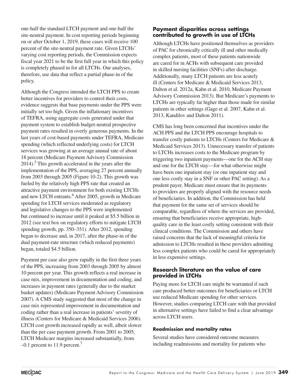one-half the standard LTCH payment and one-half the site-neutral payment. In cost reporting periods beginning on or after October 1, 2019, these cases will receive 100 percent of the site-neutral payment rate. Given LTCHs' varying cost reporting periods, the Commission expects fiscal year 2021 to be the first full year in which this policy is completely phased in for all LTCHs. Our analyses, therefore, use data that reflect a partial phase-in of the policy.

Although the Congress intended the LTCH PPS to create better incentives for providers to control their costs, evidence suggests that base payments under the PPS were initially set too high. Given the inflationary incentives of TEFRA, using aggregate costs generated under that payment system to establish budget-neutral prospective payment rates resulted in overly generous payments. In the last years of cost-based payments under TEFRA, Medicare spending (which reflected underlying costs) for LTCH services was growing at an average annual rate of about 18 percent (Medicare Payment Advisory Commission  $2014$ ).<sup>5</sup> This growth accelerated in the years after the implementation of the PPS, averaging 27 percent annually from 2003 through 2005 (Figure 10-2). This growth was fueled by the relatively high PPS rate that created an attractive payment environment for both existing LTCHs and new LTCH entrants.<sup>6</sup> After 2005, growth in Medicare spending for LTCH services moderated as regulatory and legislative changes to the PPS were implemented but continued to increase until it peaked at \$5.5 billion in 2012 (see text box on regulatory efforts to mitigate LTCH spending growth, pp. 350–351). After 2012, spending began to decrease and, in 2017, after the phase-in of the dual payment-rate structure (which reduced payments) began, totaled \$4.5 billion.

Payment per case also grew rapidly in the first three years of the PPS, increasing from 2003 through 2005 by almost 10 percent per year. This growth reflects a real increase in case mix, improvement in documentation and coding, and increases in payment rates (generally due to the market basket updates) (Medicare Payment Advisory Commission 2007). A CMS study suggested that most of the change in case mix represented improvement in documentation and coding rather than a real increase in patients' severity of illness (Centers for Medicare & Medicaid Services 2006). LTCH cost growth increased rapidly as well, albeit slower than the per case payment growth. From 2001 to 2005, LTCH Medicare margins increased substantially, from  $-0.1$  percent to 11.9 percent.<sup>7</sup>

#### **Payment disparities across settings contributed to growth in use of LTCHs**

Although LTCHs have positioned themselves as providers of PAC for chronically critically ill and other medically complex patients, most of these patients nationwide are cared for in ACHs with subsequent care provided in skilled nursing facilities (SNFs) after discharge. Additionally, many LTCH patients are less acutely ill (Centers for Medicare & Medicaid Services 2013, Dalton et al. 2012a, Kahn et al. 2010, Medicare Payment Advisory Commission 2013). But Medicare's payments to LTCHs are typically far higher than those made for similar patients in other settings (Gage et al. 2007, Kahn et al. 2013, Kandilov and Dalton 2011).

CMS has long been concerned that incentives under the ACH PPS and the LTCH PPS encourage hospitals to transfer costly patients to LTCHs (Centers for Medicare & Medicaid Services 2013). Unnecessary transfer of patients to LTCHs increases costs to the Medicare program by triggering two inpatient payments—one for the ACH stay and one for the LTCH stay—for what otherwise might have been one inpatient stay (or one inpatient stay and one less costly stay in a SNF or other PAC setting). As a prudent payer, Medicare must ensure that its payments to providers are properly aligned with the resource needs of beneficiaries. In addition, the Commission has held that payment for the same set of services should be comparable, regardless of where the services are provided, ensuring that beneficiaries receive appropriate, highquality care in the least costly setting consistent with their clinical conditions. The Commission and others have raised concerns that the lack of meaningful criteria for admission to LTCHs resulted in these providers admitting less complex patients who could be cared for appropriately in less expensive settings.

#### **Research literature on the value of care provided in LTCHs**

Paying more for LTCH care might be warranted if such care produced better outcomes for beneficiaries or LTCH use reduced Medicare spending for other services. However, studies comparing LTCH care with that provided in alternative settings have failed to find a clear advantage across LTCH users.

#### **Readmission and mortality rates**

Several studies have considered outcome measures including readmissions and mortality for patients who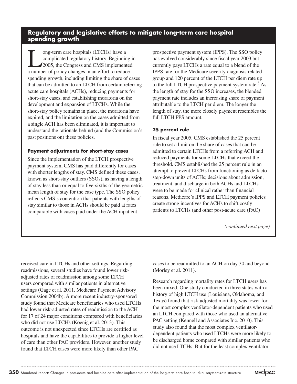#### **Regulatory and legislative efforts to mitigate long-term care hospital spending growth**

I ong-term care hospitals (LTCHs) have a<br>complicated regulatory history. Beginnin<br>2005, the Congress and CMS implement complicated regulatory history. Beginning in 2005, the Congress and CMS implemented a number of policy changes in an effort to reduce spending growth, including limiting the share of cases that can be admitted to an LTCH from certain referring acute care hospitals (ACHs), reducing payments for short-stay cases, and establishing moratoria on the development and expansion of LTCHs. While the short-stay policy remains in place, the moratoria have expired, and the limitation on the cases admitted from a single ACH has been eliminated, it is important to understand the rationale behind (and the Commission's past positions on) these policies.

#### **Payment adjustments for short-stay cases**

Since the implementation of the LTCH prospective payment system, CMS has paid differently for cases with shorter lengths of stay. CMS defined these cases, known as short-stay outliers (SSOs), as having a length of stay less than or equal to five-sixths of the geometric mean length of stay for the case type. The SSO policy reflects CMS's contention that patients with lengths of stay similar to those in ACHs should be paid at rates comparable with cases paid under the ACH inpatient

prospective payment system (IPPS). The SSO policy has evolved considerably since fiscal year 2003 but currently pays LTCHs a rate equal to a blend of the IPPS rate for the Medicare severity diagnosis related group and 120 percent of the LTCH per diem rate up to the full LTCH prospective payment system rate. <sup>8</sup> As the length of stay for the SSO increases, the blended payment rate includes an increasing share of payment attributable to the LTCH per diem. The longer the length of stay, the more closely payment resembles the full LTCH PPS amount.

#### **25 percent rule**

In fiscal year 2005, CMS established the 25 percent rule to set a limit on the share of cases that can be admitted to certain LTCHs from a referring ACH and reduced payments for some LTCHs that exceed the threshold. CMS established the 25 percent rule in an attempt to prevent LTCHs from functioning as de facto step-down units of ACHs; decisions about admission, treatment, and discharge in both ACHs and LTCHs were to be made for clinical rather than financial reasons. Medicare's IPPS and LTCH payment policies create strong incentives for ACHs to shift costly patients to LTCHs (and other post-acute care (PAC)

*(continued next page)*

received care in LTCHs and other settings. Regarding readmissions, several studies have found lower riskadjusted rates of readmission among some LTCH users compared with similar patients in alternative settings (Gage et al. 2011, Medicare Payment Advisory Commission 2004b). A more recent industry-sponsored study found that Medicare beneficiaries who used LTCHs had lower risk-adjusted rates of readmission to the ACH for 17 of 24 major conditions compared with beneficiaries who did not use LTCHs (Koenig et al. 2013). This outcome is not unexpected since LTCHs are certified as hospitals and have the capabilities to provide a higher level of care than other PAC providers. However, another study found that LTCH cases were more likely than other PAC

cases to be readmitted to an ACH on day 30 and beyond (Morley et al. 2011).

Research regarding mortality rates for LTCH users has been mixed. One study conducted in three states with a history of high LTCH use (Louisiana, Oklahoma, and Texas) found that risk-adjusted mortality was lower for the most complex ventilator-dependent patients who used an LTCH compared with those who used an alternative PAC setting (Kennell and Associates Inc. 2010). This study also found that the most complex ventilatordependent patients who used LTCHs were more likely to be discharged home compared with similar patients who did not use LTCHs. But for the least complex ventilator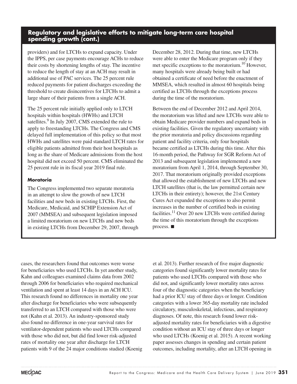#### **Regulatory and legislative efforts to mitigate long-term care hospital spending growth (cont.)**

providers) and for LTCHs to expand capacity. Under the IPPS, per case payments encourage ACHs to reduce their costs by shortening lengths of stay. The incentive to reduce the length of stay at an ACH may result in additional use of PAC services. The 25 percent rule reduced payments for patient discharges exceeding the threshold to create disincentives for LTCHs to admit a large share of their patients from a single ACH.

The 25 percent rule initially applied only to LTCH hospitals within hospitals (HWHs) and LTCH satellites.<sup>9</sup> In July 2007, CMS extended the rule to apply to freestanding LTCHs. The Congress and CMS delayed full implementation of this policy so that most HWHs and satellites were paid standard LTCH rates for eligible patients admitted from their host hospitals as long as the share of Medicare admissions from the host hospital did not exceed 50 percent. CMS eliminated the 25 percent rule in its fiscal year 2019 final rule.

#### **Moratoria**

The Congress implemented two separate moratoria in an attempt to slow the growth of new LTCH facilities and new beds in existing LTCHs. First, the Medicare, Medicaid, and SCHIP Extension Act of 2007 (MMSEA) and subsequent legislation imposed a limited moratorium on new LTCHs and new beds in existing LTCHs from December 29, 2007, through December 28, 2012. During that time, new LTCHs were able to enter the Medicare program only if they met specific exceptions to the moratorium.10 However, many hospitals were already being built or had obtained a certificate of need before the enactment of MMSEA, which resulted in almost 60 hospitals being certified as LTCHs through the exceptions process during the time of the moratorium.

Between the end of December 2012 and April 2014, the moratorium was lifted and new LTCHs were able to obtain Medicare provider numbers and expand beds in existing facilities. Given the regulatory uncertainty with the prior moratoria and policy discussions regarding patient and facility criteria, only four hospitals became certified as LTCHs during this time. After this 16-month period, the Pathway for SGR Reform Act of 2013 and subsequent legislation implemented a new moratorium from April 1, 2014, through September 30, 2017. That moratorium originally provided exceptions that allowed the establishment of new LTCHs and new LTCH satellites (that is, the law permitted certain new LTCHs in their entirety); however, the 21st Century Cures Act expanded the exceptions to also permit increases in the number of certified beds in existing facilities.<sup>11</sup> Over 20 new LTCHs were certified during the time of this moratorium through the exceptions process. ■

cases, the researchers found that outcomes were worse for beneficiaries who used LTCHs. In yet another study, Kahn and colleagues examined claims data from 2002 through 2006 for beneficiaries who required mechanical ventilation and spent at least 14 days in an ACH ICU. This research found no differences in mortality one year after discharge for beneficiaries who were subsequently transferred to an LTCH compared with those who were not (Kahn et al. 2013). An industry-sponsored study also found no difference in one-year survival rates for ventilator-dependent patients who used LTCHs compared with those who did not, but did find lower risk-adjusted rates of mortality one year after discharge for LTCH patients with 9 of the 24 major conditions studied (Koenig et al. 2013). Further research of five major diagnostic categories found significantly lower mortality rates for patients who used LTCHs compared with those who did not, and significantly lower mortality rates across four of the diagnostic categories when the beneficiary had a prior ICU stay of three days or longer. Condition categories with a lower 365-day mortality rate included circulatory, musculoskeletal, infectious, and respiratory diagnoses. Of note, this research found lower riskadjusted mortality rates for beneficiaries with a digestive condition without an ICU stay of three days or longer who used LTCHs (Koenig et al. 2015). A recent working paper assesses changes in spending and certain patient outcomes, including mortality, after an LTCH opening in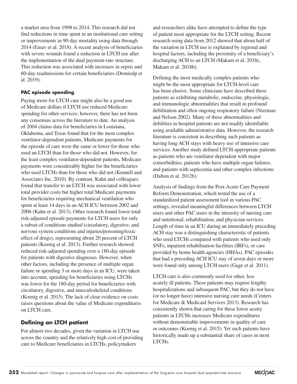a market area from 1998 to 2014. This research did not find reductions in time spent in an institutional care setting or improvements in 90-day mortality using data through 2014 (Einav et al. 2018). A recent analysis of beneficiaries with severe wounds found a reduction in LTCH use after the implementation of the dual payment-rate structure. This reduction was associated with increases in sepsis and 60-day readmissions for certain beneficiaries (Demiralp et al. 2019).

#### **PAC episode spending**

Paying more for LTCH care might also be a good use of Medicare dollars if LTCH use reduced Medicare spending for other services; however, there has not been any consensus across the literature to date. An analysis of 2004 claims data for beneficiaries in Louisiana, Oklahoma, and Texas found that for the most complex ventilator-dependent patients, Medicare payments for the episode of care were the same or lower for those who used an LTCH than for those who did not. However, for the least complex ventilator-dependent patients, Medicare payments were considerably higher for the beneficiaries who used LTCHs than for those who did not (Kennell and Associates Inc. 2010). By contrast, Kahn and colleagues found that transfer to an LTCH was associated with lower total provider costs but higher total Medicare payments for beneficiaries requiring mechanical ventilation who spent at least 14 days in an ACH ICU between 2002 and 2006 (Kahn et al. 2013). Other research found lower total risk-adjusted episode payments for LTCH users for only a subset of conditions studied (circulatory, digestive, and nervous system conditions and injuries/poisoning/toxic effect of drugs), representing about 20 percent of LTCH patients (Koenig et al. 2013). Further research showed reduced risk-adjusted spending over a 180-day episode for patients with digestive diagnoses. However, when other factors, including the presence of multiple organ failure or spending 3 or more days in an ICU, were taken into account, spending for beneficiaries using LTCHs was lower for the 180-day period for beneficiaries with circulatory, digestive, and musculoskeletal conditions (Koenig et al. 2015). The lack of clear evidence on costs raises questions about the value of Medicare expenditures on LTCH care.

#### **Defining an LTCH patient**

For almost two decades, given the variation in LTCH use across the country and the relatively high cost of providing care to Medicare beneficiaries in LTCHs, policymakers

and researchers alike have attempted to define the type of patient most appropriate for the LTCH setting. Recent research using data from 2012 showed that about half of the variation in LTCH use is explained by regional and hospital factors, including the proximity of a beneficiary's discharging ACH to an LTCH (Makam et al. 2018c, Makam et al. 2018b).

Defining the most medically complex patients who might be the most appropriate for LTCH-level care has been elusive. Some clinicians have described these patients as exhibiting metabolic, endocrine, physiologic, and immunologic abnormalities that result in profound debilitation and often ongoing respiratory failure (Nierman and Nelson 2002). Many of these abnormalities and debilities in hospital patients are not readily identifiable using available administrative data. However, the research literature is consistent in describing such patients as having long ACH stays with heavy use of intensive care services. Another study defined LTCH-appropriate patients as patients who are ventilator dependent with major comorbidities, patients who have multiple organ failures, and patients with septicemia and other complex infections (Dalton et al. 2012b).

Analysis of findings from the Post-Acute Care Payment Reform Demonstration, which tested the use of a standardized patient assessment tool in various PAC settings, revealed meaningful differences between LTCH users and other PAC users in the intensity of nursing care and nutritional, rehabilitation, and physician services. Length of time in an ICU during an immediately preceding ACH stay was a distinguishing characteristic of patients who used LTCHs compared with patients who used only SNFs, inpatient rehabilitation facilities (IRFs), or care provided by home health agencies (HHAs). PAC episodes that had a preceding ACH ICU stay of seven days or more were found only among LTCH users (Gage et al. 2011).

LTCH care is also commonly used for other, less acutely ill patients. These patients may require lengthy hospitalizations and subsequent PAC, but they do not have (or no longer have) intensive nursing care needs (Centers for Medicare & Medicaid Services 2013). Research has consistently shown that caring for these lower acuity patients in LTCHs increases Medicare expenditures without demonstrable improvements in quality of care or outcomes (Koenig et al. 2015). Yet such patients have historically made up a substantial share of cases in most LTCHs.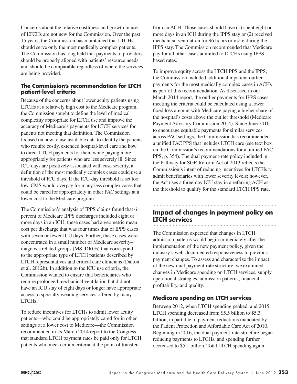Concerns about the relative costliness and growth in use of LTCHs are not new for the Commission. Over the past 15 years, the Commission has maintained that LTCHs should serve only the most medically complex patients. The Commission has long held that payments to providers should be properly aligned with patients' resource needs and should be comparable regardless of where the services are being provided.

#### **The Commission's recommendation for LTCH patient-level criteria**

Because of the concerns about lower acuity patients using LTCHs at a relatively high cost to the Medicare program, the Commission sought to define the level of medical complexity appropriate for LTCH use and improve the accuracy of Medicare's payments for LTCH services for patients not meeting that definition. The Commission focused on how to use available data to identify the patients who require costly, extended hospital-level care and how to direct LTCH payments for them while paying more appropriately for patients who are less severely ill. Since ICU days are positively associated with case severity, a definition of the most medically complex cases could use a threshold of ICU days. If the ICU-day threshold is set too low, CMS would overpay for many less complex cases that could be cared for appropriately in other PAC settings at a lower cost to the Medicare program.

The Commission's analysis of IPPS claims found that 6 percent of Medicare IPPS discharges included eight or more days in an ICU; these cases had a geometric mean cost per discharge that was four times that of IPPS cases with seven or fewer ICU days. Further, these cases were concentrated in a small number of Medicare severity– diagnosis related groups (MS–DRGs) that correspond to the appropriate type of LTCH patients described by LTCH representatives and critical care clinicians (Dalton et al. 2012b). In addition to the ICU use criteria, the Commission wanted to ensure that beneficiaries who require prolonged mechanical ventilation but did not have an ICU stay of eight days or longer have appropriate access to specialty weaning services offered by many LTCHs.

To reduce incentives for LTCHs to admit lower acuity patients—who could be appropriately cared for in other settings at a lower cost to Medicare—the Commission recommended in its March 2014 report to the Congress that standard LTCH payment rates be paid only for LTCH patients who meet certain criteria at the point of transfer

from an ACH. Those cases should have (1) spent eight or more days in an ICU during the IPPS stay or (2) received mechanical ventilation for 96 hours or more during the IPPS stay. The Commission recommended that Medicare pay for all other cases admitted to LTCHs using IPPSbased rates.

To improve equity across the LTCH PPS and the IPPS, the Commission included additional inpatient outlier payments for the most medically complex cases in ACHs as part of this recommendation. As discussed in our March 2014 report, the outlier payments for IPPS cases meeting the criteria could be calculated using a lower fixed loss amount with Medicare paying a higher share of the hospital's costs above the outlier threshold (Medicare Payment Advisory Commission 2014). Since June 2016, to encourage equitable payments for similar services across PAC settings, the Commission has recommended a unified PAC PPS that includes LTCH care (see text box on the Commission's recommendations for a unified PAC PPS, p. 354). The dual payment-rate policy included in the Pathway for SGR Reform Act of 2013 reflects the Commission's intent of reducing incentives for LTCHs to admit beneficiaries with lower severity levels; however, the Act uses a three-day ICU stay in a referring ACH as the threshold to qualify for the standard LTCH PPS rate.

#### **Impact of changes in payment policy on LTCH services**

The Commission expected that changes in LTCH admission patterns would begin immediately after the implementation of the new payment policy, given the industry's well-documented responsiveness to previous payment changes. To assess and characterize the impact of the new dual payment-rate structure, we examined changes in Medicare spending on LTCH services, supply, operational strategies, admission patterns, financial profitability, and quality.

#### **Medicare spending on LTCH services**

Between 2012, when LTCH spending peaked, and 2015, LTCH spending decreased from \$5.5 billion to \$5.3 billion, in part due to payment reductions mandated by the Patient Protection and Affordable Care Act of 2010. Beginning in 2016, the dual payment-rate structure began reducing payments to LTCHs, and spending further decreased to \$5.1 billion. Total LTCH spending again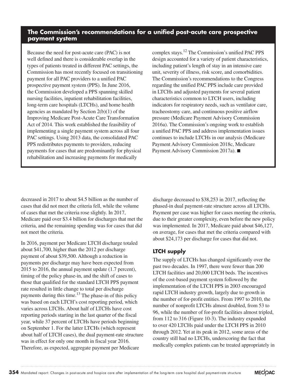#### **The Commission's recommendations for a unified post-acute care prospective payment system**

Because the need for post-acute care (PAC) is not well defined and there is considerable overlap in the types of patients treated in different PAC settings, the Commission has most recently focused on transitioning payment for all PAC providers to a unified PAC prospective payment system (PPS). In June 2016, the Commission developed a PPS spanning skilled nursing facilities, inpatient rehabilitation facilities, long-term care hospitals (LTCHs), and home health agencies as mandated by Section 2(b)(1) of the Improving Medicare Post-Acute Care Transformation Act of 2014. This work established the feasibility of implementing a single payment system across all four PAC settings. Using 2013 data, the consolidated PAC PPS redistributes payments to providers, reducing payments for cases that are predominantly for physical rehabilitation and increasing payments for medically

complex stays.12 The Commission's unified PAC PPS design accounted for a variety of patient characteristics, including patient's length of stay in an intensive care unit, severity of illness, risk score, and comorbidities. The Commission's recommendations to the Congress regarding the unified PAC PPS include care provided in LTCHs and adjusted payments for several patient characteristics common to LTCH users, including indicators for respiratory needs, such as ventilator care, tracheostomy care, and continuous positive airflow pressure (Medicare Payment Advisory Commission 2016a). The Commission's ongoing work to establish a unified PAC PPS and address implementation issues continues to include LTCHs in our analysis (Medicare Payment Advisory Commission 2018c, Medicare Payment Advisory Commission 2017a). ■

decreased in 2017 to about \$4.5 billion as the number of cases that did not meet the criteria fell, while the volume of cases that met the criteria rose slightly. In 2017, Medicare paid over \$3.4 billion for discharges that met the criteria, and the remaining spending was for cases that did not meet the criteria.

In 2016, payment per Medicare LTCH discharge totaled about \$41,700, higher than the 2012 per discharge payment of about \$39,500. Although a reduction in payments per discharge may have been expected from 2015 to 2016, the annual payment update (1.7 percent), timing of the policy phase-in, and the shift of cases to those that qualified for the standard LTCH PPS payment rate resulted in little change to total per discharge payments during this time.<sup>13</sup> The phase-in of this policy was based on each LTCH's cost reporting period, which varies across LTCHs. About half of LTCHs have cost reporting periods starting in the last quarter of the fiscal year, while 37 percent of LTCHs have periods beginning on September 1. For the latter LTCHs (which represent about half of LTCH cases), the dual payment-rate structure was in effect for only one month in fiscal year 2016. Therefore, as expected, aggregate payment per Medicare

discharge decreased to \$38,253 in 2017, reflecting the phased-in dual payment-rate structure across all LTCHs. Payment per case was higher for cases meeting the criteria, due to their greater complexity, even before the new policy was implemented. In 2017, Medicare paid about \$46,127, on average, for cases that met the criteria compared with about \$24,173 per discharge for cases that did not.

#### **LTCH supply**

The supply of LTCHs has changed significantly over the past two decades. In 1997, there were fewer than 200 LTCH facilities and 20,000 LTCH beds. The incentives of the cost-based payment system followed by the implementation of the LTCH PPS in 2003 encouraged rapid LTCH industry growth, largely due to growth in the number of for-profit entities. From 1997 to 2010, the number of nonprofit LTCHs almost doubled, from 53 to 96, while the number of for-profit facilities almost tripled, from 112 to 316 (Figure 10-3). The industry expanded to over 420 LTCHs paid under the LTCH PPS in 2010 through 2012. Yet at its peak in 2012, some areas of the country still had no LTCHs, underscoring the fact that medically complex patients can be treated appropriately in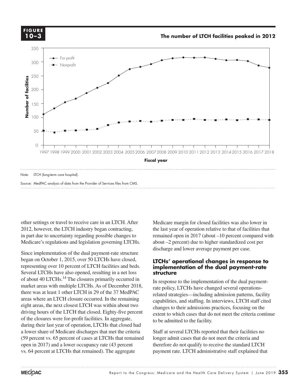**FIGURE FIGURE 10–3**

**The number of LTCH facilities peaked in 2012**

**Title here....**



Source: MedPAC analysis of data from the Provider of Services files from CMS.

other settings or travel to receive care in an LTCH. After 2012, however, the LTCH industry began contracting, in part due to uncertainty regarding possible changes to Medicare's regulations and legislation governing LTCHs.

Since implementation of the dual payment-rate structure **Examplement** began on October 1, 2015, over 50 LTCHs have closed,  $LTCHs$ representing over 10 percent of LTCH facilities and beds. Several LTCHs have also opened, resulting in a net loss **structure** of about 40 LTCHs.<sup>14</sup> The closures primarily occurred in  $\mathbf{I}$  in response market areas with multiple LTCHs. As of December 2018, rate policy, LTCHs has there was at least 1 other LTCH in 29 of the 37 MedPAC eight areas, the next closest LTCH was within about two driving hours of the LTCH that closed. Eighty-five percent exte of the closures were for-profit facilities. In aggregate, during their last year of operation, LTCHs that closed had a lower share of Medicare discharges that met the criteria (59 percent vs. 65 percent of cases at LTCHs that remained open in 2017) and a lower occupancy rate (43 percent vs. 64 percent at LTCHs that remained). The aggregate

Medicare margin for closed facilities was also lower in the last year of operation relative to that of facilities that remained open in 2017 (about –10 percent compared with about –2 percent) due to higher standardized cost per discharge and lower average payment per case.

#### **LTCHs' operational changes in response to implementation of the dual payment-rate structure**

In response to the implementation of the dual paymentrate policy, LTCHs have changed several operationsrelated strategies—including admission patterns, facility capabilities, and staffing. In interviews, LTCH staff cited changes to their admissions practices, focusing on the extent to which cases that do not meet the criteria continue to be admitted to the facility. areas where an LTCH closure occurred. In the remaining enhanced subseques—including admission patterns, racinty<br>canabilities and staffing In interviews ITCH staff cited

> Staff at several LTCHs reported that their facilities no longer admit cases that do not meet the criteria and therefore do not qualify to receive the standard LTCH payment rate. LTCH administrative staff explained that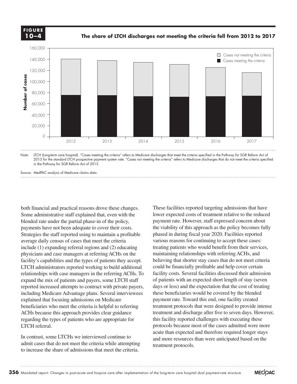

**The share of LTCH discharges not meeting the criteria fell from 2012 to 2017**



Note: LTCH (Long-term care hospital). "Cases meeting the criteria" refers to Medicare discharges that meet the criteria specified in the Pathway for SGR Reform Act of 2013 for the standard LTCH prospective payment system rate. "Cases not meeting the criteria" refers to Medicare discharges that do not meet the criteria specified in the Pathway for SGR Reform Act of 2013.

Source: MedPAC analysis of Medicare claims data.

both financial and practical reasons drove these changes. Some administrative staff explained that, even with the blended rate under the partial phase-in of the policy, payments have not been adequate to cover their costs. Strategies the staff reported using to maintain a profitable average daily census of cases that meet the criteria include (1) expanding referral regions and (2) educating physicians and case managers at referring ACHs on the facility's capabilities and the types of patients they accept. LTCH administrators reported working to build additional relationships with case managers in the referring ACHs. To expand the mix of patients and payers, some LTCH staff reported increased attempts to contract with private payers, including Medicare Advantage plans. Several interviewees explained that focusing admissions on Medicare beneficiaries who meet the criteria is helpful to referring ACHs because this approach provides clear guidance regarding the types of patients who are appropriate for LTCH referral. Source: **Number of cases**

In contrast, some LTCHs we interviewed continue to admit cases that do not meet the criteria while attempting to increase the share of admissions that meet the criteria.

These facilities reported targeting admissions that have lower expected costs of treatment relative to the reduced payment rate. However, staff expressed concern about the viability of this approach as the policy becomes fully phased in during fiscal year 2020. Facilities reported various reasons for continuing to accept these cases: treating patients who would benefit from their services, maintaining relationships with referring ACHs, and believing that shorter stay cases that do not meet criteria could be financially profitable and help cover certain facility costs. Several facilities discussed their admission of patients with an expected short length of stay (seven days or less) and the expectation that the cost of treating these beneficiaries would be covered by the blended payment rate. Toward this end, one facility created treatment protocols that were designed to provide intense treatment and discharge after five to seven days. However, this facility reported challenges with executing these protocols because most of the cases admitted were more acute than expected and therefore required longer stays and more resources than were anticipated based on the treatment protocols.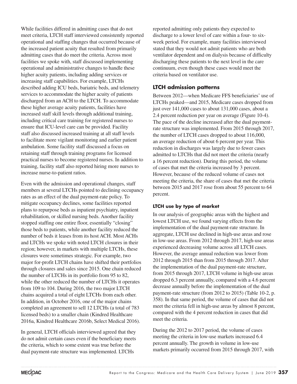While facilities differed in admitting cases that do not meet criteria, LTCH staff interviewed consistently reported operational and staffing changes that occurred because of the increased patient acuity that resulted from primarily admitting cases that do meet the criteria. Across most facilities we spoke with, staff discussed implementing operational and administrative changes to handle these higher acuity patients, including adding services or increasing staff capabilities. For example, LTCHs described adding ICU beds, bariatric beds, and telemetry services to accommodate the higher acuity of patients discharged from an ACH to the LTCH. To accommodate these higher average acuity patients, facilities have increased staff skill levels through additional training, including critical care training for registered nurses to ensure that ICU-level care can be provided. Facility staff also discussed increased training at all staff levels to facilitate more vigilant monitoring and earlier patient ambulation. Some facility staff discussed a focus on retaining staff through training programs for licensed practical nurses to become registered nurses. In addition to training, facility staff also reported hiring more nurses to increase nurse-to-patient ratios.

Even with the admission and operational changes, staff members at several LTCHs pointed to declining occupancy rates as an effect of the dual payment-rate policy. To mitigate occupancy declines, some facilities reported plans to repurpose beds as inpatient psychiatry, inpatient rehabilitation, or skilled nursing beds. Another facility stopped staffing one entire floor, essentially "closing" those beds to patients, while another facility reduced the number of beds it leases from its host ACH. Most ACHs and LTCHs we spoke with noted LTCH closures in their region; however, in markets with multiple LTCHs, these closures were sometimes strategic. For example, two major for-profit LTCH chains have shifted their portfolios through closures and sales since 2015. One chain reduced the number of LTCHs in its portfolio from 95 to 82, while the other reduced the number of LTCHs it operates from 109 to 104. During 2016, the two major LTCH chains acquired a total of eight LTCHs from each other. In addition, in October 2016, one of the major chains completed an agreement to sell 12 LTCHs (a total of 783 licensed beds) to a smaller chain (Kindred Healthcare 2016a, Kindred Healthcare 2016b, Select Medical 2016).

In general, LTCH officials interviewed agreed that they do not admit certain cases even if the beneficiary meets the criteria, which to some extent was true before the dual payment-rate structure was implemented. LTCHs

reported admitting only patients they expected to discharge to a lower level of care within a four- to sixweek period. For example, many facilities interviewed stated that they would not admit patients who are both ventilator dependent and on dialysis because of difficulty discharging these patients to the next level in the care continuum, even though these cases would meet the criteria based on ventilator use.

#### **LTCH admission patterns**

Between 2012—when Medicare FFS beneficiaries' use of LTCHs peaked—and 2015, Medicare cases dropped from just over 141,000 cases to about 131,000 cases, about a 2.4 percent reduction per year on average (Figure 10-4). The pace of the decline increased after the dual paymentrate structure was implemented. From 2015 through 2017, the number of LTCH cases dropped to about 116,000, an average reduction of about 6 percent per year. This reduction in discharges was largely due to fewer cases admitted to LTCHs that did not meet the criteria (nearly a 16 percent reduction). During this period, the volume of cases that met the criteria increased by 3 percent. However, because of the reduced volume of cases not meeting the criteria, the share of cases that met the criteria between 2015 and 2017 rose from about 55 percent to 64 percent.

#### **LTCH use by type of market**

In our analysis of geographic areas with the highest and lowest LTCH use, we found varying effects from the implementation of the dual payment-rate structure. In aggregate, LTCH use declined in high-use areas and rose in low-use areas. From 2012 through 2017, high-use areas experienced decreasing volume across all LTCH cases. However, the average annual reduction was lower from 2012 through 2015 than from 2015 through 2017. After the implementation of the dual payment-rate structure, from 2015 through 2017, LTCH volume in high-use areas dropped 6.3 percent annually, compared with a 4.6 percent decrease annually before the implementation of the dual payment-rate structure (from 2012 to 2015) (Table 10-2, p. 358). In that same period, the volume of cases that did not meet the criteria fell in high-use areas by almost 8 percent, compared with the 4 percent reduction in cases that did meet the criteria.

During the 2012 to 2017 period, the volume of cases meeting the criteria in low-use markets increased 6.4 percent annually. The growth in volume in low-use markets primarily occurred from 2015 through 2017, with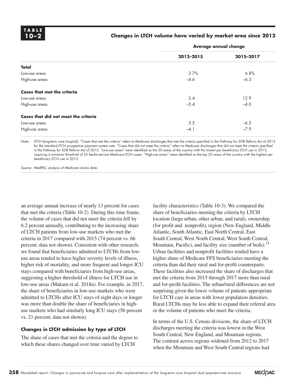#### **10–2 Changes in LTCH volume have varied by market area since 2012**

|                                      | Average annual change |           |  |
|--------------------------------------|-----------------------|-----------|--|
|                                      | 2012-2015             | 2015-2017 |  |
| Total                                |                       |           |  |
| Low-use areas                        | 2.7%                  | 6.8%      |  |
| High-use areas                       | $-4.6$                | $-6.3$    |  |
| <b>Cases that met the criteria</b>   |                       |           |  |
| Low-use areas                        | 2.4                   | 12.9      |  |
| High-use areas                       | $-5.4$                | $-4.0$    |  |
| Cases that did not meet the criteria |                       |           |  |
| Low-use areas                        | 3.5                   | $-6.2$    |  |
| High-use areas                       | $-4.1$                | $-7.9$    |  |

Note: LTCH (long-term care hospital). "Cases that met the criteria" refers to Medicare discharges that met the criteria specified in the Pathway for SGR Reform Act of 2013 for the standard LTCH prospective payment system rate. "Cases that did not meet the criteria" refers to Medicare discharges that did not meet the criteria specified in the Pathway for SGR Reform Act of 2013. "Low-use areas" were identified as the 20 areas of the country with the lowest per beneficiary LTCH use in 2015, requiring a minimum threshold of 25 fee-for-service Medicare LTCH cases. "High-use areas" were identified as the top 20 areas of the country with the highest per beneficiary LTCH use in 2015.

Source: MedPAC analysis of Medicare claims data.

an average annual increase of nearly 13 percent for cases that met the criteria (Table 10-2). During this time frame, the volume of cases that did not meet the criteria fell by 6.2 percent annually, contributing to the increasing share of LTCH patients from low-use markets who met the criteria in 2017 compared with 2015 (74 percent vs. 66 percent; data not shown). Consistent with other research, we found that beneficiaries admitted to LTCHs from lowuse areas tended to have higher severity levels of illness, higher risk of mortality, and more frequent and longer ICU stays compared with beneficiaries from high-use areas, suggesting a higher threshold of illness for LTCH use in low-use areas (Makam et al. 2018a). For example, in 2017, the share of beneficiaries in low-use markets who were admitted to LTCHs after ICU stays of eight days or longer was more than double the share of beneficiaries in highuse markets who had similarly long ICU stays (56 percent vs. 21 percent; data not shown).

#### **Changes in LTCH admission by type of LTCH**

The share of cases that met the criteria and the degree to which these shares changed over time varied by LTCH

facility characteristics (Table 10-3). We compared the share of beneficiaries meeting the criteria by LTCH location (large urban, other urban, and rural), ownership (for profit and nonprofit), region (New England, Middle Atlantic, South Atlantic, East North Central, East South Central, West North Central, West South Central, Mountain, Pacific), and facility size (number of beds).<sup>15</sup> Urban facilities and nonprofit facilities tended have a higher share of Medicare FFS beneficiaries meeting the criteria than did their rural and for-profit counterparts. These facilities also increased the share of discharges that met the criteria from 2015 through 2017 more than rural and for-profit facilities. The urban/rural differences are not surprising given the lower volume of patients appropriate for LTCH care in areas with lower population densities. Rural LTCHs may be less able to expand their referral area or the volume of patients who meet the criteria.

In terms of the U.S. Census divisions, the share of LTCH discharges meeting the criteria was lowest in the West South Central, New England, and Mountain regions. The contrast across regions widened from 2012 to 2017 when the Mountain and West South Central regions had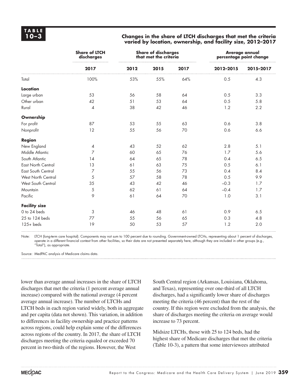#### **10–3 Changes in the share of LTCH discharges that met the criteria varied by location, ownership, and facility size, 2012–2017**

|                           | <b>Share of LTCH</b><br>discharges |      | <b>Share of discharges</b><br>that met the criteria |      |           | <b>Average annual</b><br>percentage point change |
|---------------------------|------------------------------------|------|-----------------------------------------------------|------|-----------|--------------------------------------------------|
|                           | 2017                               | 2012 | 2015                                                | 2017 | 2012-2015 | 2015-2017                                        |
| Total                     | 100%                               | 53%  | 55%                                                 | 64%  | 0.5       | 4.3                                              |
| Location                  |                                    |      |                                                     |      |           |                                                  |
| Large urban               | 53                                 | 56   | 58                                                  | 64   | 0.5       | 3.3                                              |
| Other urban               | 42                                 | 51   | 53                                                  | 64   | 0.5       | 5.8                                              |
| Rural                     | $\overline{\mathcal{A}}$           | 38   | 42                                                  | 46   | 1.2       | 2.2                                              |
| Ownership                 |                                    |      |                                                     |      |           |                                                  |
| For profit                | 87                                 | 53   | 55                                                  | 63   | 0.6       | 3.8                                              |
| Nonprofit                 | 12                                 | 55   | 56                                                  | 70   | 0.6       | 6.6                                              |
| <b>Region</b>             |                                    |      |                                                     |      |           |                                                  |
| New England               | 4                                  | 43   | 52                                                  | 62   | 2.8       | 5.1                                              |
| Middle Atlantic           | $\overline{7}$                     | 60   | 65                                                  | 76   | 1.7       | 5.6                                              |
| South Atlantic            | 14                                 | 64   | 65                                                  | 78   | 0.4       | 6.5                                              |
| East North Central        | 13                                 | 61   | 63                                                  | 75   | 0.5       | 6.1                                              |
| <b>East South Central</b> | 7                                  | 55   | 56                                                  | 73   | 0.4       | 8.4                                              |
| West North Central        | 5                                  | 57   | 58                                                  | 78   | 0.5       | 9.9                                              |
| West South Central        | 35                                 | 43   | 42                                                  | 46   | $-0.3$    | 1.7                                              |
| Mountain                  | $\sqrt{5}$                         | 62   | 61                                                  | 64   | $-0.4$    | 1.7                                              |
| Pacific                   | 9                                  | 61   | 64                                                  | 70   | 1.0       | 3.1                                              |
| <b>Facility size</b>      |                                    |      |                                                     |      |           |                                                  |
| 0 to 24 beds              | 3                                  | 46   | 48                                                  | 61   | 0.9       | 6.5                                              |
| 25 to 124 beds            | 77                                 | 55   | 56                                                  | 65   | 0.3       | 4.8                                              |
| $125 + \text{beds}$       | 19                                 | 50   | 53                                                  | 57   | 1.2       | 2.0                                              |

Note: LTCH (long-term care hospital). Components may not sum to 100 percent due to rounding. Government-owned LTCHs, representing about 1 percent of discharges, operate in a different financial context from other facilities, so their data are not presented separately here, although they are included in other groups (e.g., "Total"), as appropriate.

Source: MedPAC analysis of Medicare claims data.

lower than average annual increases in the share of LTCH discharges that met the criteria (1 percent average annual increase) compared with the national average (4 percent average annual increase). The number of LTCHs and LTCH beds in each region varied widely, both in aggregate and per capita (data not shown). This variation, in addition to differences in facility ownership and practice patterns across regions, could help explain some of the differences across regions of the country. In 2017, the share of LTCH discharges meeting the criteria equaled or exceeded 70 percent in two-thirds of the regions. However, the West

South Central region (Arkansas, Louisiana, Oklahoma, and Texas), representing over one-third of all LTCH discharges, had a significantly lower share of discharges meeting the criteria (46 percent) than the rest of the country. If this region were excluded from the analysis, the share of discharges meeting the criteria on average would increase to 73 percent.

Midsize LTCHs, those with 25 to 124 beds, had the highest share of Medicare discharges that met the criteria (Table 10-3), a pattern that some interviewees attributed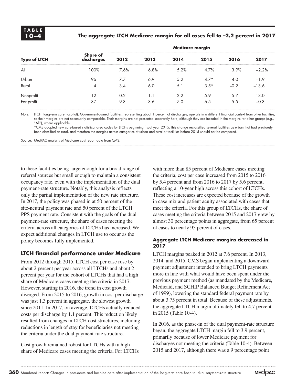#### **10–4 The aggregate LTCH Medicare margin for all cases fell to –2.2 percent in 2017**

|                         |                        |        |        | <b>Medicare margin</b> |        |        |         |  |
|-------------------------|------------------------|--------|--------|------------------------|--------|--------|---------|--|
| <b>Type of LTCH</b>     | Share of<br>discharges | 2012   | 2013   | 2014                   | 2015   | 2016   | 2017    |  |
| All                     | 100%                   | 7.6%   | 6.8%   | 5.2%                   | 4.7%   | 3.9%   | $-2.2%$ |  |
| Urban                   | 96                     | 7.7    | 6.9    | 5.2                    | $4.7*$ | 4.0    | $-1.9$  |  |
| Rural                   | 4                      | 3.4    | 6.0    | 5.1                    | $3.5*$ | $-0.2$ | $-13.6$ |  |
|                         | 12                     | $-0.2$ | $-1.1$ | $-2.2$                 | $-5.9$ | $-5.7$ | $-13.0$ |  |
| Nonprofit<br>For profit | 87                     | 9.3    | 8.6    | 7.0                    | 6.5    | 5.5    | $-0.3$  |  |

Note: LTCH (long-term care hospital). Government-owned facilities, representing about 1 percent of discharges, operate in a different financial context from other facilities, so their margins are not necessarily comparable. Their margins are not presented separately here, although they are included in the margins for other groups (e.g., "All"), where applicable.

\*CMS adopted new core-based statistical area codes for LTCHs beginning fiscal year 2015; this change reclassified several facilities as urban that had previously been classified as rural, and therefore the margins across categories of urban and rural of facilities before 2015 should not be compared.

Source: MedPAC analysis of Medicare cost report data from CMS.

to these facilities being large enough for a broad range of referral sources but small enough to maintain a consistent occupancy rate, even with the implementation of the dual payment-rate structure. Notably, this analysis reflects only the partial implementation of the new rate structure. In 2017, the policy was phased in at 50 percent of the site-neutral payment rate and 50 percent of the LTCH PPS payment rate. Consistent with the goals of the dual payment-rate structure, the share of cases meeting the criteria across all categories of LTCHs has increased. We expect additional changes in LTCH use to occur as the policy becomes fully implemented.

#### **LTCH financial performance under Medicare**

From 2012 through 2015, LTCH cost per case rose by about 2 percent per year across all LTCHs and about 2 percent per year for the cohort of LTCHs that had a high share of Medicare cases meeting the criteria in 2017. However, starting in 2016, the trend in cost growth diverged. From 2015 to 2016, growth in cost per discharge was just 1.3 percent in aggregate, the slowest growth since 2011. In 2017, on average, LTCHs actually reduced costs per discharge by 1.1 percent. This reduction likely resulted from changes in LTCH cost structures, including reductions in length of stay for beneficiaries not meeting the criteria under the dual payment-rate structure.

Cost growth remained robust for LTCHs with a high share of Medicare cases meeting the criteria. For LTCHs

with more than 85 percent of Medicare cases meeting the criteria, cost per case increased from 2015 to 2016 by 5.4 percent and from 2016 to 2017 by 5.6 percent, reflecting a 10-year high across this cohort of LTCHs. These cost increases are expected because of the growth in case mix and patient acuity associated with cases that meet the criteria. For this group of LTCHs, the share of cases meeting the criteria between 2015 and 2017 grew by almost 30 percentage points in aggregate, from 65 percent of cases to nearly 95 percent of cases.

#### **Aggregate LTCH Medicare margins decreased in 2017**

LTCH margins peaked in 2012 at 7.6 percent. In 2013, 2014, and 2015, CMS began implementing a downward payment adjustment intended to bring LTCH payments more in line with what would have been spent under the previous payment method (as mandated by the Medicare, Medicaid, and SCHIP Balanced Budget Refinement Act of 1999), lowering the standard federal payment rate by about 3.75 percent in total. Because of these adjustments, the aggregate LTCH margin ultimately fell to 4.7 percent in 2015 (Table 10-4).

In 2016, as the phase-in of the dual payment-rate structure began, the aggregate LTCH margin fell to 3.9 percent, primarily because of lower Medicare payment for discharges not meeting the criteria (Table 10-4). Between 2015 and 2017, although there was a 9 percentage point

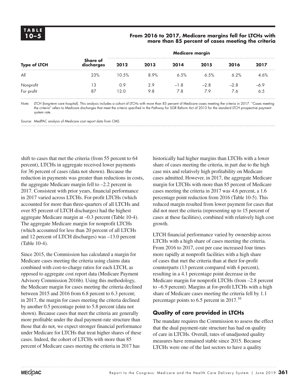#### **10–5 From 2016 to 2017, Medicare margins fell for LTCHs with more than 85 percent of cases meeting the criteria**

|                         |                               |             |            | <b>Medicare margin</b> |               |               |               |
|-------------------------|-------------------------------|-------------|------------|------------------------|---------------|---------------|---------------|
| <b>Type of LTCH</b>     | <b>Share of</b><br>discharges | 2012        | 2013       | 2014                   | 2015          | 2016          | 2017          |
| All                     | 23%                           | 10.5%       | 8.9%       | 6.5%                   | 6.5%          | 6.2%          | 4.6%          |
| Nonprofit<br>For profit | 13<br>87                      | 0.9<br>12.O | 2.9<br>9.8 | $-1.8$<br>7.8          | $-2.8$<br>7.9 | $-2.8$<br>7.6 | $-6.9$<br>6.5 |

Note: LTCH (long-term care hospital). This analysis includes a cohort of LTCHs with more than 85 percent of Medicare cases meeting the criteria in 2017. "Cases meeting the criteria" refers to Medicare discharges that meet the criteria specified in the Pathway for SGR Reform Act of 2013 for the standard LTCH prospective payment system rate.

Source: MedPAC analysis of Medicare cost report data from CMS.

shift to cases that met the criteria (from 55 percent to 64 percent), LTCHs in aggregate received lower payments for 36 percent of cases (data not shown). Because the reduction in payments was greater than reductions in costs, the aggregate Medicare margin fell to –2.2 percent in 2017. Consistent with prior years, financial performance in 2017 varied across LTCHs. For-profit LTCHs (which accounted for more than three-quarters of all LTCHs and over 85 percent of LTCH discharges) had the highest aggregate Medicare margin at –0.3 percent (Table 10-4). The aggregate Medicare margin for nonprofit LTCHs (which accounted for less than 20 percent of all LTCHs and 12 percent of LTCH discharges) was –13.0 percent (Table 10-4).

Since 2015, the Commission has calculated a margin for Medicare cases meeting the criteria using claims data combined with cost-to-charge ratios for each LTCH, as opposed to aggregate cost report data (Medicare Payment Advisory Commission 2016b). Using this methodology, the Medicare margin for cases meeting the criteria declined between 2015 and 2016 from 6.8 percent to 6.3 percent; in 2017, the margin for cases meeting the criteria declined by another 0.5 percentage point to 5.8 percent (data not shown). Because cases that meet the criteria are generally more profitable under the dual payment-rate structure than those that do not, we expect stronger financial performance under Medicare for LTCHs that treat higher shares of these cases. Indeed, the cohort of LTCHs with more than 85 percent of Medicare cases meeting the criteria in 2017 has

historically had higher margins than LTCHs with a lower share of cases meeting the criteria, in part due to the high case mix and relatively high profitability on Medicare cases admitted. However, in 2017, the aggregate Medicare margin for LTCHs with more than 85 percent of Medicare cases meeting the criteria in 2017 was 4.6 percent, a 1.6 percentage point reduction from 2016 (Table 10-5). This reduced margin resulted from lower payment for cases that did not meet the criteria (representing up to 15 percent of cases at these facilities), combined with relatively high cost growth.

LTCH financial performance varied by ownership across LTCHs with a high share of cases meeting the criteria. From 2016 to 2017, cost per case increased four times more rapidly at nonprofit facilities with a high share of cases that met the criteria than at their for-profit counterparts (13 percent compared with 4 percent), resulting in a 4.1 percentage point decrease in the Medicare margin for nonprofit LTCHs (from –2.8 percent to –6.9 percent). Margins at for-profit LTCHs with a high share of Medicare cases meeting the criteria fell by 1.1 percentage points to 6.5 percent in 2017.<sup>16</sup>

#### **Quality of care provided in LTCHs**

The mandate requires the Commission to assess the effect that the dual payment-rate structure has had on quality of care in LTCHs. Overall, rates of unadjusted quality measures have remained stable since 2015. Because LTCHs were one of the last sectors to have a quality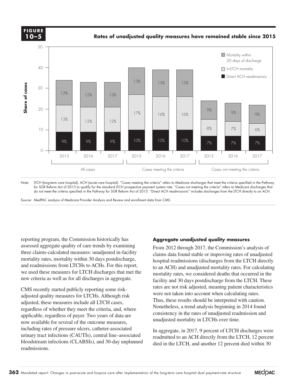**Cumulative change.... FIGURE X-X FIGURE 10–5**

**Rates of unadjusted quality measures have remained stable since 2015**



Note: LTCH (long-term care hospital), ACH (acute care hospital). "Cases meeting the criteria" refers to Medicare discharges that meet the criteria specified in the Pathway for SGR Reform Act of 2013 to qualify for the standard LTCH prospective payment system rate. "Cases not meeting the criteria" refers to Medicare discharges that do not meet the criteria specified in the Pathway for SGR Reform Act of 2013. "Direct ACH readmissions" includes discharges from the LTCH directly to an ACH.

Source: MedPAC analysis of Medicare Provider Analysis and Review and enrollment data from CMS.

reporting program, the Commission historically has assessed aggregate quality of care trends by examining three claims-calculated measures: unadjusted in-facility mortality rates, mortality within 30 days postdischarge, and readmissions from LTCHs to ACHs. For this report, we used these measures for LTCH discharges that met the new criteria as well as for all discharges in aggregate.

CMS recently started publicly reporting some riskadjusted quality measures for LTCHs. Although risk adjusted, these measures include all LTCH cases, regardless of whether they meet the criteria, and, where applicable, regardless of payer. Two years of data are now available for several of the outcome measures, including rates of pressure ulcers, catheter-associated urinary tract infections (CAUTIs), central line-associated bloodstream infections (CLABSIs), and 30-day unplanned readmissions.

#### **Aggregate unadjusted quality measures**

From 2012 through 2017, the Commission's analysis of claims data found stable or improving rates of unadjusted hospital readmissions (discharges from the LTCH directly to an ACH) and unadjusted mortality rates. For calculating mortality rates, we considered deaths that occurred in the facility and 30 days postdischarge from the LTCH. These rates are not risk adjusted, meaning patient characteristics were not taken into account when calculating rates. Thus, these results should be interpreted with caution. Nonetheless, a trend analysis beginning in 2014 found consistency in the rates of unadjusted readmission and unadjusted mortality in LTCHs over time.

In aggregate, in 2017, 9 percent of LTCH discharges were readmitted to an ACH directly from the LTCH, 12 percent died in the LTCH, and another 12 percent died within 30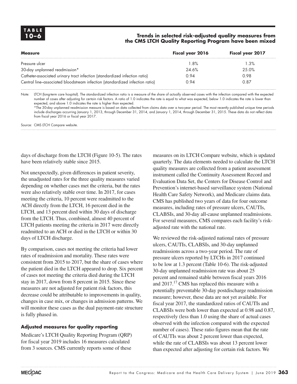#### **10–6 Trends in selected risk-adjusted quality measures from the CMS LTCH Quality Reporting Program have been mixed**

| <b>Measure</b>                                                               | Fiscal year 2016 | Fiscal year 2017 |
|------------------------------------------------------------------------------|------------------|------------------|
| Pressure ulcer                                                               | 1.8%             | 1.3%             |
| 30-day unplanned readmission*                                                | 24.6%            | 25.0%            |
| Catheter-associated urinary tract infection (standardized infection ratio)   | 0.94             | 0.98             |
| Central line-associated bloodstream infection (standardized infection ratio) | 0.94             | 0.87             |

Note: LTCH (long-term care hospital). The standardized infection ratio is a measure of the share of actually observed cases with the infection compared with the expected number of cases after adjusting for certain risk factors. A ratio of 1.0 indicates the rate is equal to what was expected, below 1.0 indicates the rate is lower than expected, and above 1.0 indicates the rate is higher than expected.

\*The 30-day unplanned readmission measure is based on data collected from claims data over a two-year period. The most recently published unique time periods include discharges occurring January 1, 2013, through December 31, 2014, and January 1, 2014, through December 31, 2015. These data do not reflect data from fiscal year 2016 or fiscal year 2017.

Source: CMS LTCH Compare website.

days of discharge from the LTCH (Figure 10-5). The rates have been relatively stable since 2015.

Not unexpectedly, given differences in patient severity, the unadjusted rates for the three quality measures varied depending on whether cases met the criteria, but the rates were also relatively stable over time. In 2017, for cases meeting the criteria, 10 percent were readmitted to the ACH directly from the LTCH, 16 percent died in the LTCH, and 13 percent died within 30 days of discharge from the LTCH. Thus, combined, almost 40 percent of LTCH patients meeting the criteria in 2017 were directly readmitted to an ACH or died in the LTCH or within 30 days of LTCH discharge.

By comparison, cases not meeting the criteria had lower rates of readmission and mortality. These rates were consistent from 2015 to 2017, but the share of cases where the patient died in the LTCH appeared to drop. Six percent of cases not meeting the criteria died during the LTCH stay in 2017, down from 8 percent in 2015. Since these measures are not adjusted for patient risk factors, this decrease could be attributable to improvements in quality, changes in case mix, or changes in admission patterns. We will monitor these cases as the dual payment-rate structure is fully phased in.

#### **Adjusted measures for quality reporting**

Medicare's LTCH Quality Reporting Program (QRP) for fiscal year 2019 includes 16 measures calculated from 3 sources. CMS currently reports some of these

measures on its LTCH Compare website, which is updated quarterly. The data elements needed to calculate the LTCH quality measures are collected from a patient assessment instrument called the Continuity Assessment Record and Evaluation Data Set, the Centers for Disease Control and Prevention's internet-based surveillance system (National Health Care Safety Network), and Medicare claims data. CMS has published two years of data for four outcome measures, including rates of pressure ulcers, CAUTIs, CLABSIs, and 30-day all-cause unplanned readmissions. For several measures, CMS compares each facility's riskadjusted rate with the national rate.

We reviewed the risk-adjusted national rates of pressure ulcers, CAUTIs, CLABSIs, and 30-day unplanned readmissions across a two-year period. The rate of pressure ulcers reported by LTCHs in 2017 continued to be low at 1.3 percent (Table 10-6). The risk-adjusted 30-day unplanned readmission rate was about 25 percent and remained stable between fiscal years 2016 and 2017.<sup>17</sup> CMS has replaced this measure with a potentially preventable 30-day postdischarge readmission measure; however, these data are not yet available. For fiscal year 2017, the standardized ratios of CAUTIs and CLABSIs were both lower than expected at 0.98 and 0.87, respectively (less than 1.0 using the share of actual cases observed with the infection compared with the expected number of cases). These ratio figures mean that the rate of CAUTIs was about 2 percent lower than expected, while the rate of CLABSIs was about 13 percent lower than expected after adjusting for certain risk factors. We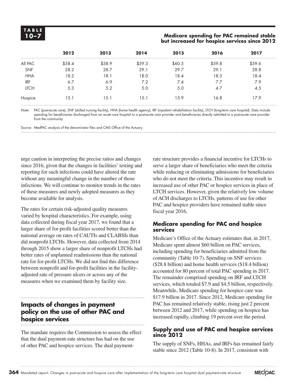#### **10–7 Medicare spending for PAC remained stable but increased for hospice services since 2012**

|             | 2012   | 2013   | 2014   | 2015   | 2016   | 2017   |
|-------------|--------|--------|--------|--------|--------|--------|
| All PAC     | \$58.4 | \$58.9 | \$59.3 | \$60.5 | \$59.8 | \$59.6 |
| <b>SNF</b>  | 28.2   | 28.7   | 29.1   | 29.7   | 29.1   | 28.8   |
| <b>HHA</b>  | 18.2   | 18.1   | 18.0   | 18.4   | 18.3   | 18.4   |
| <b>IRF</b>  | 6.7    | 6.9    | 7.2    | 7.4    | 7.7    | 7.9    |
| <b>LTCH</b> | 5.3    | 5.2    | 5.0    | 5.0    | 4.7    | 4.5    |
| Hospice     | 15.1   | 5.1    | 15.1   | 15.9   | 6.8    | 17.9   |

Note: PAC (post-acute care), SNF (skilled nursing facility), HHA (home health agency), IRF (inpatient rehabilitation facility), LTCH (long-term care hospital). Data include spending for beneficiaries discharged from an acute care hospital to a post-acute care provider and beneficiaries directly admitted to a post-acute care provider from the community.

Source: MedPAC analysis of the denominator files and CMS Office of the Actuary.

urge caution in interpreting the precise ratios and changes since 2016, given that the changes in facilities' testing and reporting for such infections could have altered the rate without any meaningful change in the number of those infections. We will continue to monitor trends in the rates of these measures and newly adopted measures as they become available for analysis.

The rates for certain risk-adjusted quality measures varied by hospital characteristics. For example, using data collected during fiscal year 2017, we found that a larger share of for-profit facilities scored better than the national average on rates of CAUTIs and CLABSIs than did nonprofit LTCHs. However, data collected from 2014 through 2015 show a larger share of nonprofit LTCHs had better rates of unplanned readmissions than the national rate for for-profit LTCHs. We did not find this difference between nonprofit and for-profit facilities in the facilityadjusted rate of pressure ulcers or across any of the measures when we examined them by facility size.

#### **Impacts of changes in payment policy on the use of other PAC and hospice services**

The mandate requires the Commission to assess the effect that the dual payment-rate structure has had on the use of other PAC and hospice services. The dual paymentrate structure provides a financial incentive for LTCHs to serve a larger share of beneficiaries who meet the criteria while reducing or eliminating admissions for beneficiaries who do not meet the criteria. This incentive may result in increased use of other PAC or hospice services in place of LTCH services. However, given the relatively low volume of ACH discharges to LTCHs, patterns of use for other PAC and hospice providers have remained stable since fiscal year 2016.

#### **Medicare spending for PAC and hospice services**

Medicare's Office of the Actuary estimates that, in 2017, Medicare spent almost \$60 billion on PAC services, including spending for beneficiaries admitted from the community (Table 10-7). Spending on SNF services (\$28.8 billion) and home health services (\$18.4 billion) accounted for 80 percent of total PAC spending in 2017. The remainder comprised spending on IRF and LTCH services, which totaled \$7.9 and \$4.5 billion, respectively. Meanwhile, Medicare spending for hospice care was \$17.9 billion in 2017. Since 2012, Medicare spending for PAC has remained relatively stable, rising just 2 percent between 2012 and 2017, while spending on hospice has increased rapidly, climbing 19 percent over the period.

#### **Supply and use of PAC and hospice services since 2012**

The supply of SNFs, HHAs, and IRFs has remained fairly stable since 2012 (Table 10-8). In 2017, consistent with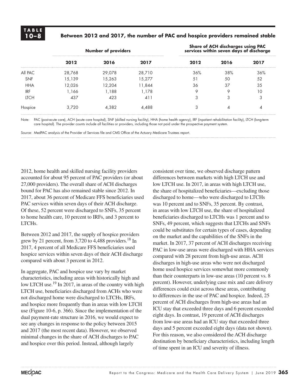#### **10–8 Between 2012 and 2017, the number of PAC and hospice providers remained stable**

|             |        | <b>Number of providers</b> |        |      | Share of ACH discharges using PAC<br>services within seven days of discharge |      |
|-------------|--------|----------------------------|--------|------|------------------------------------------------------------------------------|------|
|             | 2012   | 2016                       | 2017   | 2012 | 2016                                                                         | 2017 |
| All PAC     | 28,768 | 29,078                     | 28,710 | 36%  | 38%                                                                          | 36%  |
| <b>SNF</b>  | 15,139 | 15,263                     | 15.277 | 5.   | 50                                                                           | 52   |
| <b>HHA</b>  | 12.026 | 12.204                     | 11,844 | 36   | 37                                                                           | 35   |
| <b>IRF</b>  | .166   | l.188                      | .178   |      |                                                                              |      |
| <b>ITCH</b> | 437    | 423                        |        |      |                                                                              | ◠    |
| Hospice     | 3.720  | 4.382                      | 4.488  |      |                                                                              |      |

Note: PAC (post-acute care), ACH (acute care hospital), SNF (skilled nursing facility), HHA (home health agency), IRF (inpatient rehabilitation facility), LTCH (long-term care hospital). The provider counts include all facilities or providers, including those not paid under the prospective payment system.

Source: MedPAC analysis of the Provider of Services file and CMS Office of the Actuary Medicare Trustees report.

2012, home health and skilled nursing facility providers accounted for about 95 percent of PAC providers (or about 27,000 providers). The overall share of ACH discharges bound for PAC has also remained stable since 2012. In 2017, about 36 percent of Medicare FFS beneficiaries used PAC services within seven days of their ACH discharge. Of these, 52 percent were discharged to SNFs, 35 percent to home health care, 10 percent to IRFs, and 3 percent to LTCHs.

Between 2012 and 2017, the supply of hospice providers grew by 21 percent, from  $3,720$  to  $4,488$  providers.<sup>18</sup> In 2017, 4 percent of all Medicare FFS beneficiaries used hospice services within seven days of their ACH discharge compared with about 3 percent in 2012.

In aggregate, PAC and hospice use vary by market characteristics, including areas with historically high and low LTCH use.<sup>19</sup> In 2017, in areas of the country with high LTCH use, beneficiaries discharged from ACHs who were not discharged home were discharged to LTCHs, IRFs, and hospice more frequently than in areas with low LTCH use (Figure 10-6, p. 366). Since the implementation of the dual payment-rate structure in 2016, we would expect to see any changes in response to the policy between 2015 and 2017 (the most recent data). However, we observed minimal changes in the share of ACH discharges to PAC and hospice over this period. Instead, although largely

consistent over time, we observed discharge pattern differences between markets with high LTCH use and low LTCH use. In 2017, in areas with high LTCH use, the share of hospitalized beneficiaries—excluding those discharged to home—who were discharged to LTCHs was 10 percent and to SNFs, 35 percent. By contrast, in areas with low LTCH use, the share of hospitalized beneficiaries discharged to LTCHs was 1 percent and to SNFs, 49 percent, which suggests that LTCHs and SNFs could be substitutes for certain types of cases, depending on the market and the capabilities of the SNFs in the market. In 2017, 37 percent of ACH discharges receiving PAC in low-use areas were discharged with HHA services compared with 28 percent from high-use areas. ACH discharges in high-use areas who were not discharged home used hospice services somewhat more commonly than their counterparts in low-use areas (10 percent vs. 8 percent). However, underlying case mix and care delivery differences could exist across these areas, contributing to differences in the use of PAC and hospice. Indeed, 25 percent of ACH discharges from high-use areas had an ICU stay that exceeded three days and 6 percent exceeded eight days. In contrast, 19 percent of ACH discharges from low-use areas had an ICU stay that exceeded three days and 5 percent exceeded eight days (data not shown). For this reason, we also considered the ACH discharge destination by beneficiary characteristics, including length of time spent in an ICU and severity of illness.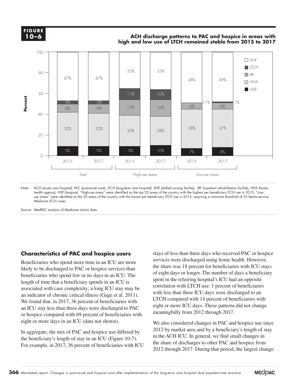

#### **ACH discharge patterns to PAC and hospice in areas with**  $\overline{O}$  **–6 high and low use of LTCH remained stable from 2015 to 2017**



Note: ACH (acute care hospital), PAC (post-acute care), LTCH (long-term care hospital), SNF (skilled nursing facility), IRF (inpatient rehabilitation facility), HHA (home health agency), HSP (hospice). "High-use areas" were identified as the top 20 areas of the country with the highest per beneficiary LTCH use in 2015. "Lowuse areas" were identified as the 20 areas of the country with the lowest per beneficiary LTCH use in 2015, requiring a minimum threshold of 25 fee-for-service Medicare LTCH cases.

Source: MedPAC analysis of Medicare claims data.

#### **Characteristics of PAC and hospice users**

Beneficiaries who spend more time in an ICU are more likely to be discharged to PAC or hospice services than beneficiaries who spend few or no days in an ICU. The length of time that a beneficiary spends in an ICU is associated with case complexity; a long ICU stay may be an indicator of chronic critical illness (Gage et al. 2011). We found that, in 2017, 36 percent of beneficiaries with an ICU stay less than three days were discharged to PAC or hospice compared with 69 percent of beneficiaries with eight or more days in an ICU (data not shown).

In aggregate, the mix of PAC and hospice use differed by the beneficiary's length of stay in an ICU (Figure 10-7). For example, in 2017, 36 percent of beneficiaries with ICU

stays of less than three days who received PAC or hospice services were discharged using home health. However, the share was 18 percent for beneficiaries with ICU stays of eight days or longer. The number of days a beneficiary spent in the referring hospital's ICU had an opposite correlation with LTCH use: 1 percent of beneficiaries with less than three ICU days were discharged to an LTCH compared with 14 percent of beneficiaries with eight or more ICU days. These patterns did not change meaningfully from 2012 through 2017.

We also considered changes in PAC and hospice use since 2012 by market area and by a beneficiary's length of stay in the ACH ICU. In general, we find small changes in the share of discharges to other PAC and hospice from 2012 through 2017. During that period, the largest change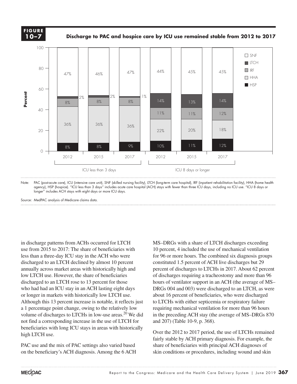

**Discharge to PAC and hospice care by ICU use remained stable from 2012 to 2017**



Note: PAC (post-acute care), ICU (intensive care unit), SNF (skilled nursing facility), LTCH (long-term care hospital), IRF (inpatient rehabilitation facility), HHA (home health agency), HSP (hospice). "ICU less than 3 days" includes acute care hospital (ACH) stays with fewer than three ICU days, including no ICU use. "ICU 8 days or longer" includes ACH stays with eight days or more ICU days.

Source: MedPAC analysis of Medicare claims data.

in discharge patterns from ACHs occurred for LTCH use from 2015 to 2017: The share of beneficiaries with less than a three-day ICU stay in the ACH who were discharged to an LTCH declined by almost 10 percent annually across market areas with historically high and low LTCH use. However, the share of beneficiaries discharged to an LTCH rose to 13 percent for those who had had an ICU stay in an ACH lasting eight days or longer in markets with historically low LTCH use. Although this 13 percent increase is notable, it reflects just a 1 percentage point change, owing to the relatively low volume of discharges to LTCHs in low-use areas. $^{20}$  We did not find a corresponding increase in the use of LTCH for beneficiaries with long ICU stays in areas with historically high LTCH use. **Example 2**<br> **Percent Control**<br> **Percent Property**<br> **Percent Property**<br> **PAC u**<br> **PAC u** 

PAC use and the mix of PAC settings also varied based on the beneficiary's ACH diagnosis. Among the 6 ACH MS–DRGs with a share of LTCH discharges exceeding 10 percent, 4 included the use of mechanical ventilation for 96 or more hours. The combined six diagnosis groups constituted 1.5 percent of ACH live discharges but 29 percent of discharges to LTCHs in 2017. About 62 percent of discharges requiring a tracheostomy and more than 96 hours of ventilator support in an ACH (the average of MS– DRGs 004 and 003) were discharged to an LTCH, as were about 16 percent of beneficiaries, who were discharged to LTCHs with either septicemia or respiratory failure requiring mechanical ventilation for more than 96 hours in the preceding ACH stay (the average of MS–DRGs 870 and 207) (Table 10-9, p. 368).

Over the 2012 to 2017 period, the use of LTCHs remained fairly stable by ACH primary diagnosis. For example, the share of beneficiaries with principal ACH diagnoses of skin conditions or procedures, including wound and skin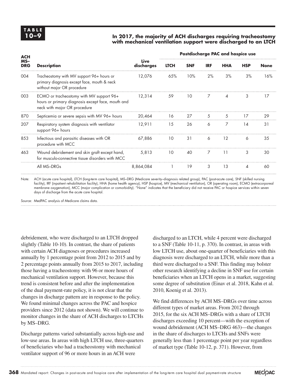#### **10–9 In 2017, the majority of ACH discharges requiring tracheostomy with mechanical ventilation support were discharged to an LTCH**

| <b>ACH</b><br>$MS-$<br><b>DRG</b><br>004 |                                                                                                                               |                    | Postdischarge PAC and hospice use |            |            |            |            |             |  |
|------------------------------------------|-------------------------------------------------------------------------------------------------------------------------------|--------------------|-----------------------------------|------------|------------|------------|------------|-------------|--|
|                                          | <b>Description</b>                                                                                                            | Live<br>discharges | <b>LTCH</b>                       | <b>SNF</b> | <b>IRF</b> | <b>HHA</b> | <b>HSP</b> | <b>None</b> |  |
|                                          | Tracheostomy with MV support 96+ hours or<br>primary diagnosis except face, mouth & neck<br>without major OR procedure        | 12,076             | 65%                               | 10%        | 2%         | 3%         | 3%         | 16%         |  |
| 003                                      | ECMO or tracheostomy with MV support 96+<br>hours or primary diagnosis except face, mouth and<br>neck with major OR procedure | 12,314             | 59                                | 10         | 7          | ⊿          | 3          | 17          |  |
| 870                                      | Septicemia or severe sepsis with MV 96+ hours                                                                                 | 20,464             | 16                                | 27         | .5         | 5          | 17         | 29          |  |
| 207                                      | Respiratory system diagnosis with ventilator<br>support 96+ hours                                                             | 12,911             | 15                                | 26         | 6          | 7          | 14         | 31          |  |
| 853                                      | Infectious and parasitic diseases with OR<br>procedure with MCC                                                               | 67,886             | 10                                | 31         | 6          | 12         | 6          | 35          |  |
| 463                                      | Wound debridement and skin graft except hand,<br>for musculo-connective tissue disorders with MCC                             | 5,813              | 10                                | 40         | 7          | 11         | 3          | 30          |  |
|                                          | All MS-DRGs                                                                                                                   | 8,864,084          |                                   | 19         | 3          | 13         | 4          | 60          |  |
|                                          |                                                                                                                               |                    |                                   |            |            |            |            |             |  |

Note: ACH (acute care hospital), LTCH (long-term care hospital), MS–DRG (Medicare severity–diagnosis related group), PAC (post-acute care), SNF (skilled nursing facility), IRF (inpatient rehabilitation facility), HHA (home health agency), HSP (hospice), MV (mechanical ventilation), OR (operating room), ECMO (extracorporeal membrane oxygenation), MCC (major complication or comorbidity). "None" indicates that the beneficiary did not receive PAC or hospice services within seven days of discharge from the acute care hospital.

Source: MedPAC analysis of Medicare claims data.

debridement, who were discharged to an LTCH dropped slightly (Table 10-10). In contrast, the share of patients with certain ACH diagnoses or procedures increased annually by 1 percentage point from 2012 to 2015 and by 2 percentage points annually from 2015 to 2017, including those having a tracheostomy with 96 or more hours of mechanical ventilation support. However, because this trend is consistent before and after the implementation of the dual payment-rate policy, it is not clear that the changes in discharge pattern are in response to the policy. We found minimal changes across the PAC and hospice providers since 2012 (data not shown). We will continue to monitor changes in the share of ACH discharges to LTCHs by MS–DRG.

Discharge patterns varied substantially across high-use and low-use areas. In areas with high LTCH use, three-quarters of beneficiaries who had a tracheostomy with mechanical ventilator support of 96 or more hours in an ACH were

discharged to an LTCH, while 4 percent were discharged to a SNF (Table 10-11, p. 370). In contrast, in areas with low LTCH use, about one-quarter of beneficiaries with this diagnosis were discharged to an LTCH, while more than a third were discharged to a SNF. This finding may bolster other research identifying a decline in SNF use for certain beneficiaries when an LTCH opens in a market, suggesting some degree of substitution (Einav et al. 2018, Kahn et al. 2010, Koenig et al. 2013).

We find differences by ACH MS–DRGs over time across different types of market areas. From 2012 through 2015, for the six ACH MS–DRGs with a share of LTCH discharges exceeding 10 percent—with the exception of wound debridement (ACH MS–DRG 463)—the changes in the share of discharges to LTCHs and SNFs were generally less than 1 percentage point per year regardless of market type (Table 10-12, p. 371). However, from

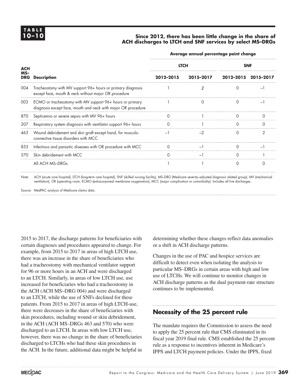#### **10–10 Since 2012, there has been little change in the share of ACH discharges to LTCH and SNF services by select MS–DRGs**

| <b>ACH</b><br>$MS-$<br><b>DRG</b><br>004<br>003<br>870<br>207<br>463<br>853<br>570 |                                                                                                                            | Average annual percentage point change |                          |          |                          |  |  |  |  |  |
|------------------------------------------------------------------------------------|----------------------------------------------------------------------------------------------------------------------------|----------------------------------------|--------------------------|----------|--------------------------|--|--|--|--|--|
|                                                                                    |                                                                                                                            |                                        | <b>LTCH</b>              |          | <b>SNF</b>               |  |  |  |  |  |
|                                                                                    | <b>Description</b>                                                                                                         | 2012-2015                              | 2015-2017                |          | 2012-2015 2015-2017      |  |  |  |  |  |
|                                                                                    | Tracheostomy with MV support 96+ hours or primary diagnosis<br>except face, mouth & neck without major OR procedure        |                                        |                          | $\Omega$ | $\overline{\phantom{0}}$ |  |  |  |  |  |
|                                                                                    | ECMO or tracheostomy with MV support 96+ hours or primary<br>diagnosis except face, mouth and neck with major OR procedure |                                        |                          |          |                          |  |  |  |  |  |
|                                                                                    | Septicemia or severe sepsis with MV 96+ hours                                                                              | 0                                      |                          | ∩        |                          |  |  |  |  |  |
|                                                                                    | Respiratory system diagnosis with ventilator support 96+ hours                                                             |                                        |                          |          |                          |  |  |  |  |  |
|                                                                                    | Wound debridement and skin graft except hand, for musculo-<br>connective tissue disorders with MCC                         | $-1$                                   | $-2$                     | $\Omega$ | 2                        |  |  |  |  |  |
|                                                                                    | Infectious and parasitic diseases with OR procedure with MCC                                                               |                                        | $-$                      | ∩        |                          |  |  |  |  |  |
|                                                                                    | Skin debridement with MCC                                                                                                  |                                        | $\overline{\phantom{0}}$ | ∩        |                          |  |  |  |  |  |
|                                                                                    | All ACH MS-DRGs                                                                                                            |                                        |                          | $\Omega$ |                          |  |  |  |  |  |

Note: ACH (acute care hospital), LTCH (long-term care hospital), SNF (skilled nursing facility), MS–DRG (Medicare severity–adjusted diagnosis related group), MV (mechanical ventilation), OR (operating room, ECMO (extracorporeal membrane oxygenation), MCC (major complication or comorbidity). Includes all live discharges.

Source: MedPAC analysis of Medicare claims data.

2015 to 2017, the discharge patterns for beneficiaries with certain diagnoses and procedures appeared to change. For example, from 2015 to 2017 in areas of high LTCH use, there was an increase in the share of beneficiaries who had a tracheostomy with mechanical ventilator support for 96 or more hours in an ACH and were discharged to an LTCH. Similarly, in areas of low LTCH use, use increased for beneficiaries who had a tracheostomy in the ACH (ACH MS–DRG 004) and were discharged to an LTCH, while the use of SNFs declined for these patients. From 2015 to 2017 in areas of high LTCH-use, there were decreases in the share of beneficiaries with skin procedures, including wound or skin debridement, in the ACH (ACH MS–DRGs 463 and 570) who were discharged to an LTCH. In areas with low LTCH use, however, there was no change in the share of beneficiaries discharged to LTCHs who had these skin procedures in the ACH. In the future, additional data might be helpful in

determining whether these changes reflect data anomalies or a shift in ACH discharge patterns.

Changes in the use of PAC and hospice services are difficult to detect even when isolating the analysis to particular MS–DRGs in certain areas with high and low use of LTCHs. We will continue to monitor changes in ACH discharge patterns as the dual payment-rate structure continues to be implemented.

#### **Necessity of the 25 percent rule**

The mandate requires the Commission to assess the need to apply the 25 percent rule that CMS eliminated in its fiscal year 2019 final rule. CMS established the 25 percent rule as a response to incentives inherent in Medicare's IPPS and LTCH payment policies. Under the IPPS, fixed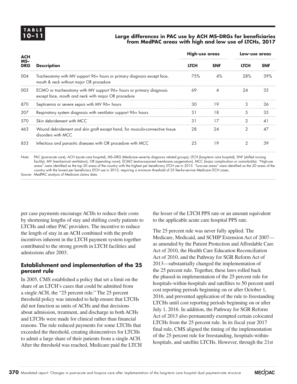#### **10–11 Large differences in PAC use by ACH MS–DRGs for beneficiaries from MedPAC areas with high and low use of LTCHs, 2017**

| <b>ACH</b><br>$MS-$<br><b>DRG</b><br>004<br>003<br>870<br>207<br>570<br>463 |                                                                                                                            | High-use areas  |            | Low-use areas |            |  |
|-----------------------------------------------------------------------------|----------------------------------------------------------------------------------------------------------------------------|-----------------|------------|---------------|------------|--|
|                                                                             | <b>Description</b>                                                                                                         | <b>LTCH</b>     | <b>SNF</b> | <b>LTCH</b>   | <b>SNF</b> |  |
|                                                                             | Tracheostomy with MV support 96+ hours or primary diagnosis except face,<br>mouth & neck without major OR procedure        | 75%             | 4%         | 28%           | 39%        |  |
|                                                                             | ECMO or tracheostomy with MV support 96+ hours or primary diagnosis<br>except face, mouth and neck with major OR procedure | 69              | 4          | 24            | 35         |  |
|                                                                             | Septicemia or severe sepsis with MV 96+ hours                                                                              | 30              | 19         | 3             | 36         |  |
|                                                                             | Respiratory system diagnosis with ventilator support 96+ hours                                                             | $\overline{3}1$ | 18         | 5             | 35         |  |
|                                                                             | Skin debridement with MCC                                                                                                  | $\overline{3}1$ | 17         | 2             | $\Delta$   |  |
|                                                                             | Wound debridement and skin graft except hand, for musculo-connective tissue<br>disorders with MCC                          | 28              | 24         | 2             | 47         |  |
| 853                                                                         | Infectious and parasitic diseases with OR procedure with MCC                                                               | 25              | 19         | $\mathcal{P}$ | 39         |  |

Note: PAC (post-acute care), ACH (acute care hospital), MS–DRG (Medicare–severity diagnosis related groups), LTCH (long-term care hospital), SNF (skilled nursing facility), MV (mechanical ventilation), OR (operating room), ECMO (extracorporeal membrane oxygenation), MCC (major complication or comorbidity). "High-use areas" were identified as the top 20 areas of the country with the highest per beneficiary LTCH use in 2015. "Low-use areas" were identified as the 20 areas of the country with the lowest per beneficiary LTCH use in 2015, requiring a minimum threshold of 25 fee-for-service Medicare LTCH cases. Source: MedPAC analysis of Medicare claims data.

per case payments encourage ACHs to reduce their costs by shortening lengths of stay and shifting costly patients to LTCHs and other PAC providers. The incentive to reduce the length of stay in an ACH combined with the profit incentives inherent in the LTCH payment system together contributed to the strong growth in LTCH facilities and admissions after 2003.

#### **Establishment and implementation of the 25 percent rule**

In 2005, CMS established a policy that set a limit on the share of an LTCH's cases that could be admitted from a single ACH, the "25 percent rule." The 25 percent threshold policy was intended to help ensure that LTCHs did not function as units of ACHs and that decisions about admission, treatment, and discharge in both ACHs and LTCHs were made for clinical rather than financial reasons. The rule reduced payments for some LTCHs that exceeded the threshold, creating disincentives for LTCHs to admit a large share of their patients from a single ACH. After the threshold was reached, Medicare paid the LTCH

the lesser of the LTCH PPS rate or an amount equivalent to the applicable acute care hospital PPS rate.

The 25 percent rule was never fully applied. The Medicare, Medicaid, and SCHIP Extension Act of 2007 as amended by the Patient Protection and Affordable Care Act of 2010, the Health Care Education Reconciliation Act of 2010, and the Pathway for SGR Reform Act of 2013—substantially changed the implementation of the 25 percent rule. Together, these laws rolled back the phased-in implementation of the 25 percent rule for hospitals-within-hospitals and satellites to 50 percent until cost reporting periods beginning on or after October 1, 2016, and prevented application of the rule to freestanding LTCHs until cost reporting periods beginning on or after July 1, 2016. In addition, the Pathway for SGR Reform Act of 2013 also permanently exempted certain colocated LTCHs from the 25 percent rule. In its fiscal year 2017 final rule, CMS aligned the timing of the implementation of the 25 percent rule for freestanding, hospitals-withinhospitals, and satellite LTCHs. However, through the 21st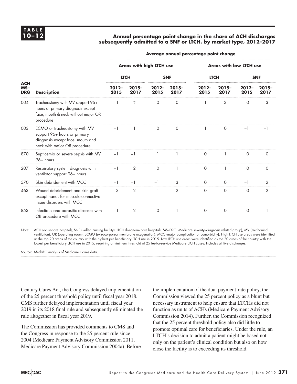#### **10–12 Annual percentage point change in the share of ACH discharges subsequently admitted to a SNF or LTCH, by market type, 2012–2017**

### **Average annual percentage point change**

|                                   |                                                                                                                                  | Areas with high LTCH use |                  |                  |                 | <b>Areas with low LTCH use</b> |                  |                  |                  |  |
|-----------------------------------|----------------------------------------------------------------------------------------------------------------------------------|--------------------------|------------------|------------------|-----------------|--------------------------------|------------------|------------------|------------------|--|
|                                   | <b>Description</b>                                                                                                               | <b>LTCH</b>              |                  | <b>SNF</b>       |                 | <b>LTCH</b>                    |                  | <b>SNF</b>       |                  |  |
| <b>ACH</b><br>$MS-$<br><b>DRG</b> |                                                                                                                                  | $2012 -$<br>2015         | $2015 -$<br>2017 | $2012 -$<br>2015 | $2015-$<br>2017 | $2012 -$<br>2015               | $2015 -$<br>2017 | $2012 -$<br>2015 | $2015 -$<br>2017 |  |
| 004                               | Tracheostomy with MV support 96+<br>hours or primary diagnosis except<br>face, mouth & neck without major OR<br>procedure        | $-1$                     | $\overline{2}$   | $\circ$          | $\Omega$        |                                | 3                | $\mathbf 0$      | $-3$             |  |
| 003                               | ECMO or tracheostomy with MV<br>support 96+ hours or primary<br>diagnosis except face, mouth and<br>neck with major OR procedure | $-1$                     |                  | $\Omega$         | $\Omega$        |                                | $\Omega$         | $-1$             | -1               |  |
| 870                               | Septicemia or severe sepsis with MV<br>96+ hours                                                                                 | $-1$                     | $-1$             |                  |                 | $\mathbf 0$                    |                  | $\circ$          | 0                |  |
| 207                               | Respiratory system diagnosis with<br>ventilator support 96+ hours                                                                | $-1$                     | $\overline{2}$   | $\Omega$         |                 | $\Omega$                       |                  | $\circ$          | $\circ$          |  |
| 570                               | Skin debridement with MCC                                                                                                        | $-1$                     | $-1$             | $-1$             | 3               | $\circ$                        | $\circ$          | $-1$             | 2                |  |
| 463                               | Wound debridement and skin graft<br>except hand, for musculo-connective<br>tissue disorders with MCC                             | $-3$                     | $-2$             |                  | $\overline{2}$  | $\Omega$                       | 0                | $\circ$          | 2                |  |
| 853                               | Infectious and parasitic diseases with<br>OR procedure with MCC                                                                  | $-1$                     | $-2$             | $\circ$          |                 | $\Omega$                       | $\Omega$         | $\circ$          | $-1$             |  |

Note: ACH (acute-care hospital), SNF (skilled nursing facility), LTCH (long-term care hospital), MS–DRG (Medicare severity–diagnosis related group), MV (mechanical ventilation), OR (operating room), ECMO (extracorporeal membrane oxygenation), MCC (major complication or comorbidity). High LTCH use areas were identified as the top 20 areas of the country with the highest per beneficiary LTCH use in 2015. Low LTCH use areas were identified as the 20 areas of the country with the lowest per beneficiary LTCH use in 2015, requiring a minimum threshold of 25 fee-for-service Medicare LTCH cases. Includes all live discharges.

Source: MedPAC analysis of Medicare claims data.

Century Cures Act, the Congress delayed implementation of the 25 percent threshold policy until fiscal year 2018. CMS further delayed implementation until fiscal year 2019 in its 2018 final rule and subsequently eliminated the rule altogether in fiscal year 2019.

The Commission has provided comments to CMS and the Congress in response to the 25 percent rule since 2004 (Medicare Payment Advisory Commission 2011, Medicare Payment Advisory Commission 2004a). Before

the implementation of the dual payment-rate policy, the Commission viewed the 25 percent policy as a blunt but necessary instrument to help ensure that LTCHs did not function as units of ACHs (Medicare Payment Advisory Commission 2014). Further, the Commission recognized that the 25 percent threshold policy also did little to promote optimal care for beneficiaries. Under the rule, an LTCH's decision to admit a patient might be based not only on the patient's clinical condition but also on how close the facility is to exceeding its threshold.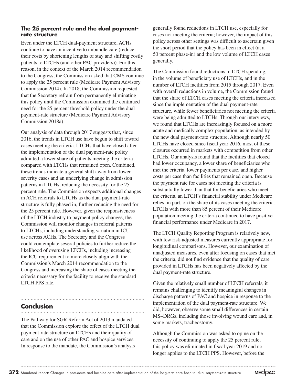#### **The 25 percent rule and the dual paymentrate structure**

Even under the LTCH dual-payment structure, ACHs continue to have an incentive to unbundle care (reduce their costs by shortening lengths of stay and shifting costly patients to LTCHs (and other PAC providers)). For this reason, in the context of the March 2014 recommendation to the Congress, the Commission asked that CMS continue to apply the 25 percent rule (Medicare Payment Advisory Commission 2014). In 2018, the Commission requested that the Secretary refrain from permanently eliminating this policy until the Commission examined the continued need for the 25 percent threshold policy under the dual payment-rate structure (Medicare Payment Advisory Commission 2018a).

Our analysis of data through 2017 suggests that, since 2016, the trends in LTCH use have begun to shift toward cases meeting the criteria. LTCHs that have closed after the implementation of the dual payment-rate policy admitted a lower share of patients meeting the criteria compared with LTCHs that remained open. Combined, these trends indicate a general shift away from lower severity cases and an underlying change in admission patterns in LTCHs, reducing the necessity for the 25 percent rule. The Commission expects additional changes in ACH referrals to LTCHs as the dual payment-rate structure is fully phased in, further reducing the need for the 25 percent rule. However, given the responsiveness of the LTCH industry to payment policy changes, the Commission will monitor changes in referral patterns to LTCHs, including understanding variation in ICU use across ACHs. The Secretary and the Congress could contemplate several policies to further reduce the likelihood of overusing LTCHs, including increasing the ICU requirement to more closely align with the Commission's March 2014 recommendation to the Congress and increasing the share of cases meeting the criteria necessary for the facility to receive the standard LTCH PPS rate.

#### **Conclusion**

The Pathway for SGR Reform Act of 2013 mandated that the Commission explore the effect of the LTCH dual payment-rate structure on LTCHs and their quality of care and on the use of other PAC and hospice services. In response to the mandate, the Commission's analysis

generally found reductions in LTCH use, especially for cases not meeting the criteria; however, the impact of this policy across other settings was difficult to ascertain given the short period that the policy has been in effect (at a 50 percent phase-in) and the low volume of LTCH cases generally.

The Commission found reductions in LTCH spending, in the volume of beneficiary use of LTCHs, and in the number of LTCH facilities from 2015 through 2017. Even with overall reductions in volume, the Commission found that the share of LTCH cases meeting the criteria increased since the implementation of the dual payment-rate structure, while fewer beneficiaries not meeting the criteria were being admitted to LTCHs. Through our interviews, we found that LTCHs are increasingly focused on a more acute and medically complex population, as intended by the new dual payment-rate structure. Although nearly 50 LTCHs have closed since fiscal year 2016, most of these closures occurred in markets with competition from other LTCHs. Our analysis found that the facilities that closed had lower occupancy, a lower share of beneficiaries who met the criteria, lower payments per case, and higher costs per case than facilities that remained open. Because the payment rate for cases not meeting the criteria is substantially lower than that for beneficiaries who meet the criteria, an LTCH's financial stability under Medicare relies, in part, on the share of its cases meeting the criteria. LTCHs with more than 85 percent of their Medicare population meeting the criteria continued to have positive financial performance under Medicare in 2017.

The LTCH Quality Reporting Program is relatively new, with few risk-adjusted measures currently appropriate for longitudinal comparisons. However, our examination of unadjusted measures, even after focusing on cases that met the criteria, did not find evidence that the quality of care provided in LTCHs has been negatively affected by the dual payment-rate structure.

Given the relatively small number of LTCH referrals, it remains challenging to identify meaningful changes in discharge patterns of PAC and hospice in response to the implementation of the dual payment-rate structure. We did, however, observe some small differences in certain MS–DRGs, including those involving wound care and, in some markets, tracheostomy.

Although the Commission was asked to opine on the necessity of continuing to apply the 25 percent rule, this policy was eliminated in fiscal year 2019 and no longer applies to the LTCH PPS. However, before the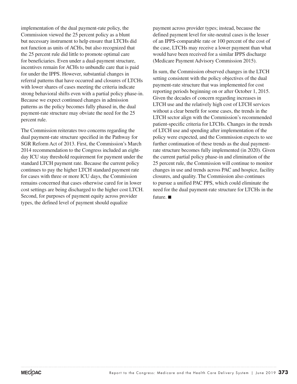implementation of the dual payment-rate policy, the Commission viewed the 25 percent policy as a blunt but necessary instrument to help ensure that LTCHs did not function as units of ACHs, but also recognized that the 25 percent rule did little to promote optimal care for beneficiaries. Even under a dual-payment structure, incentives remain for ACHs to unbundle care that is paid for under the IPPS. However, substantial changes in referral patterns that have occurred and closures of LTCHs with lower shares of cases meeting the criteria indicate strong behavioral shifts even with a partial policy phase-in. Because we expect continued changes in admission patterns as the policy becomes fully phased in, the dual payment-rate structure may obviate the need for the 25 percent rule.

The Commission reiterates two concerns regarding the dual payment-rate structure specified in the Pathway for SGR Reform Act of 2013. First, the Commission's March 2014 recommendation to the Congress included an eightday ICU stay threshold requirement for payment under the standard LTCH payment rate. Because the current policy continues to pay the higher LTCH standard payment rate for cases with three or more ICU days, the Commission remains concerned that cases otherwise cared for in lower cost settings are being discharged to the higher cost LTCH. Second, for purposes of payment equity across provider types, the defined level of payment should equalize

payment across provider types; instead, because the defined payment level for site-neutral cases is the lesser of an IPPS-comparable rate or 100 percent of the cost of the case, LTCHs may receive a lower payment than what would have been received for a similar IPPS discharge (Medicare Payment Advisory Commission 2015).

In sum, the Commission observed changes in the LTCH setting consistent with the policy objectives of the dual payment-rate structure that was implemented for cost reporting periods beginning on or after October 1, 2015. Given the decades of concern regarding increases in LTCH use and the relatively high cost of LTCH services without a clear benefit for some cases, the trends in the LTCH sector align with the Commission's recommended patient-specific criteria for LTCHs. Changes in the trends of LTCH use and spending after implementation of the policy were expected, and the Commission expects to see further continuation of these trends as the dual paymentrate structure becomes fully implemented (in 2020). Given the current partial policy phase-in and elimination of the 25 percent rule, the Commission will continue to monitor changes in use and trends across PAC and hospice, facility closures, and quality. The Commission also continues to pursue a unified PAC PPS, which could eliminate the need for the dual payment-rate structure for LTCHs in the future. ■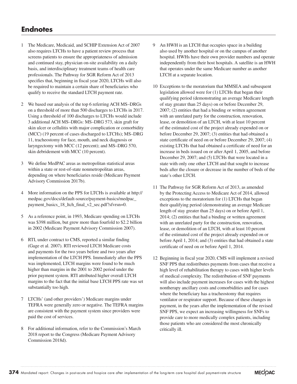#### **Endnotes**

- 1 The Medicare, Medicaid, and SCHIP Extension Act of 2007 also requires LTCHs to have a patient review process that screens patients to ensure the appropriateness of admission and continued stay, physician on-site availability on a daily basis, and interdisciplinary treatment teams of health care professionals. The Pathway for SGR Reform Act of 2013 specifies that, beginning in fiscal year 2020, LTCHs will also be required to maintain a certain share of beneficiaries who qualify to receive the standard LTCH payment rate.
- 2 We based our analysis of the top 6 referring ACH MS–DRGs on a threshold of more than 500 discharges to LTCHs in 2017. Using a threshold of 100 discharges to LTCHs would include 3 additional ACH MS–DRGs: MS–DRG 573, skin graft for skin ulcer or cellulitis with major complication or comorbidity (MCC) (19 percent of cases discharged to LTCHs); MS–DRG 11, tracheostomy for face, mouth, and neck diagnosis or laryngectomy with MCC (12 percent); and MS–DRG 570, skin debridement with MCC (10 percent).
- 3 We define MedPAC areas as metropolitan statistical areas within a state or rest-of-state nonmetropolitan areas, depending on where beneficiaries reside (Medicare Payment Advisory Commission 2017b).
- 4 More information on the PPS for LTCHs is available at http:// medpac.gov/docs/default-source/payment-basics/medpac\_ payment\_basics\_18\_ltch\_final\_v2\_sec.pdf?sfvrsn=0.
- 5 As a reference point, in 1993, Medicare spending on LTCHs was \$398 million, but grew more than fourfold to \$2.2 billion in 2002 (Medicare Payment Advisory Commission 2007).
- 6 RTI, under contract to CMS, reported a similar finding (Gage et al. 2007). RTI reviewed LTCH Medicare costs and payments for the two years before and two years after implementation of the LTCH PPS. Immediately after the PPS was implemented, LTCH margins were found to be much higher than margins in the 2001 to 2002 period under the prior payment system. RTI attributed higher overall LTCH margins to the fact that the initial base LTCH PPS rate was set substantially too high.
- 7 LTCHs' (and other providers') Medicare margins under TEFRA were generally zero or negative. The TEFRA margins are consistent with the payment system since providers were paid the cost of services.
- 8 For additional information, refer to the Commission's March 2018 report to the Congress (Medicare Payment Advisory Commission 2018d).
- An HWH is an LTCH that occupies space in a building also used by another hospital or on the campus of another hospital. HWHs have their own provider numbers and operate independently from their host hospitals. A satellite is an HWH that operates under the same Medicare number as another LTCH at a separate location.
- 10 Exceptions to the moratorium that MMSEA and subsequent legislation allowed were for (1) LTCHs that began their qualifying period (demonstrating an average Medicare length of stay greater than 25 days) on or before December 29, 2007; (2) entities that had a binding or written agreement with an unrelated party for the construction, renovation, lease, or demolition of an LTCH, with at least 10 percent of the estimated cost of the project already expended on or before December 29, 2007; (3) entities that had obtained a state certificate of need on or before December 29, 2007; (4) existing LTCHs that had obtained a certificate of need for an increase in beds issued on or after April 1, 2005, and before December 29, 2007; and (5) LTCHs that were located in a state with only one other LTCH and that sought to increase beds after the closure or decrease in the number of beds of the state's other LTCH.
- 11 The Pathway for SGR Reform Act of 2013, as amended by the Protecting Access to Medicare Act of 2014, allowed exceptions to the moratorium for (1) LTCHs that began their qualifying period (demonstrating an average Medicare length of stay greater than 25 days) on or before April 1, 2014; (2) entities that had a binding or written agreement with an unrelated party for the construction, renovation, lease, or demolition of an LTCH, with at least 10 percent of the estimated cost of the project already expended on or before April 1, 2014; and (3) entities that had obtained a state certificate of need on or before April 1, 2014.
- 12 Beginning in fiscal year 2020, CMS will implement a revised SNF PPS that redistributes payments from cases that receive a high level of rehabilitation therapy to cases with higher levels of medical complexity. The redistribution of SNF payments will also include payment increases for cases with the highest nontherapy ancillary costs and comorbidities and for cases where the beneficiary has a tracheostomy that requires ventilator or respirator support. Because of these changes in payment, in the years after the implementation of the revised SNF PPS, we expect an increasing willingness for SNFs to provide care to more medically complex patients, including those patients who are considered the most chronically critically ill.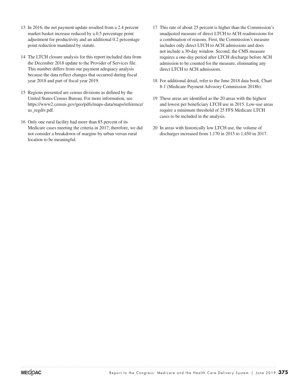- 13 In 2016, the net payment update resulted from a 2.4 percent market basket increase reduced by a 0.5 percentage point adjustment for productivity and an additional 0.2 percentage point reduction mandated by statute.
- 14 The LTCH closure analysis for this report included data from the December 2018 update to the Provider of Services file. This number differs from our payment adequacy analysis because the data reflect changes that occurred during fiscal year 2018 and part of fiscal year 2019.
- 15 Regions presented are census divisions as defined by the United States Census Bureau. For more information, see https://www2.census.gov/geo/pdfs/maps-data/maps/reference/ us\_regdiv.pdf.
- 16 Only one rural facility had more than 85 percent of its Medicare cases meeting the criteria in 2017; therefore, we did not consider a breakdown of margins by urban versus rural location to be meaningful.
- 17 This rate of about 25 percent is higher than the Commission's unadjusted measure of direct LTCH to ACH readmissions for a combination of reasons. First, the Commission's measure includes only direct LTCH to ACH admissions and does not include a 30-day window. Second, the CMS measure requires a one-day period after LTCH discharge before ACH admission to be counted for the measure, eliminating any direct LTCH to ACH admissions.
- 18 For additional detail, refer to the June 2018 data book, Chart 8-1 (Medicare Payment Advisory Commission 2018b).
- 19 These areas are identified as the 20 areas with the highest and lowest per beneficiary LTCH use in 2015. Low-use areas require a minimum threshold of 25 FFS Medicare LTCH cases to be included in the analysis.
- 20 In areas with historically low LTCH use, the volume of discharges increased from 1,170 in 2015 to 1,450 in 2017.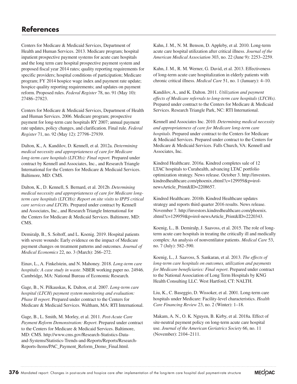Centers for Medicare & Medicaid Services, Department of Health and Human Services. 2013. Medicare program; hospital inpatient prospective payment systems for acute care hospitals and the long term care hospital prospective payment system and proposed fiscal year 2014 rates; quality reporting requirements for specific providers; hospital conditions of participation; Medicare program; FY 2014 hospice wage index and payment rate update; hospice quality reporting requirements; and updates on payment reform. Proposed rules. *Federal Register* 78, no. 91 (May 10): 27486–27823.

Centers for Medicare & Medicaid Services, Department of Health and Human Services. 2006. Medicare program; prospective payment for long-term care hospitals RY 2007; annual payment rate updates, policy changes, and clarification. Final rule. *Federal Register* 71, no. 92 (May 12): 27798–27939.

Dalton, K., A. Kandilov, D. Kennell, et al. 2012a. *Determining medical necessity and appropriateness of care for Medicare long-term care hospitals (LTCHs): Final report.* Prepared under contract by Kennell and Associates, Inc., and Research Triangle International for the Centers for Medicare & Medicaid Services. Baltimore, MD: CMS.

Dalton, K., D. Kennell, S. Bernard, et al. 2012b. *Determining medical necessity and appropriateness of care for Medicare longterm care hospitals (LTCHs): Report on site visits to IPPS critical care services and LTCHs.* Prepared under contract by Kennell and Associates, Inc., and Research Triangle International for the Centers for Medicare & Medicaid Services. Baltimore, MD: CMS.

Demiralp, B., S. Soltoff, and L. Koenig. 2019. Hospital patients with severe wounds: Early evidence on the impact of Medicare payment changes on treatment patterns and outcomes. *Journal of Medical Economics* 22, no. 3 (March): 266–272.

Einav, L., A. Finkelstein, and N. Mahoney. 2018. *Long-term care hospitals: A case study in waste*. NBER working paper no. 24946. Cambridge, MA: National Bureau of Economic Research.

Gage, B., N. Pilkauskas, K. Dalton, et al. 2007. *Long-term care hospital (LTCH) payment system monitoring and evaluation: Phase II report*. Prepared under contract to the Centers for Medicare & Medicaid Services. Waltham, MA: RTI International.

Gage, B., L. Smith, M. Morley, et al. 2011. *Post-Acute Care Payment Reform Demonstration: Report*. Prepared under contract to the Centers for Medicare & Medicaid Services. Baltimore, MD: CMS. http://www.cms.gov/Research-Statistics-Dataand-Systems/Statistics-Trends-and-Reports/Reports/Research-Reports-Items/PAC\_Payment\_Reform\_Demo\_Final.html.

Kahn, J. M., N. M. Benson, D. Appleby, et al. 2010. Long-term acute care hospital utilization after critical illness. *Journal of the American Medical Association* 303, no. 22 (June 9): 2253–2259.

Kahn, J. M., R. M. Werner, G. David, et al. 2013. Effectiveness of long-term acute care hospitalization in elderly patients with chronic critical illness. *Medical Care* 51, no. 1 (January): 4–10.

Kandilov, A., and K. Dalton. 2011. *Utilization and payment effects of Medicare referrals to long-term care hospitals (LTCHs)*. Prepared under contract to the Centers for Medicare & Medicaid Services. Research Triangle Park, NC: RTI International.

Kennell and Associates Inc. 2010. *Determining medical necessity and appropriateness of care for Medicare long-term care hospitals*. Prepared under contract to the Centers for Medicare & Medicaid Services. Prepared under contract to the Centers for Medicare & Medicaid Services. Falls Church, VA: Kennell and Associates, Inc.

Kindred Healthcare. 2016a. Kindred completes sale of 12 LTAC hospitals to Curahealth, advancing LTAC portfolio optimization strategy. News release. October 3. http://investors. kindredhealthcare.com/phoenix.zhtml?c=129959&p=irolnewsArticle\_Print&ID=2208657.

Kindred Healthcare. 2016b. Kindred Healthcare updates strategy and reports third quarter 2016 results. News release. November 7. http://investors.kindredhealthcare.com/phoenix. zhtml?c=129959&p=irol-newsArticle\_Print&ID=2220343.

Koenig, L., B. Demiralp, J. Saavoss, et al. 2015. The role of longterm acute care hospitals in treating the critically ill and medically complex: An analysis of nonventilator patients. *Medical Care* 53, no. 7 (July): 582–590.

Koenig, L., J. Saavoss, S. Sankaran, et al. 2013. *The effects of long-term care hospitals on outcomes, utilization and payments for Medicare beneficiaries: Final report*. Prepared under contract to the National Association of Long Term Hospitals by KNG Health Consulting LLC. West Hartford, CT: NALTH.

Liu, K., C. Baseggio, D. Wissoker, et al. 2001. Long-term care hospitals under Medicare: Facility-level characteristics. *Health Care Financing Review* 23, no. 2 (Winter): 1–18.

Makam, A. N., O. K. Nguyen, B. Kirby, et al. 2018a. Effect of site-neutral payment policy on long-term acute care hospital use. *Journal of the American Geriatrics Society* 66, no. 11 (November): 2104–2111.